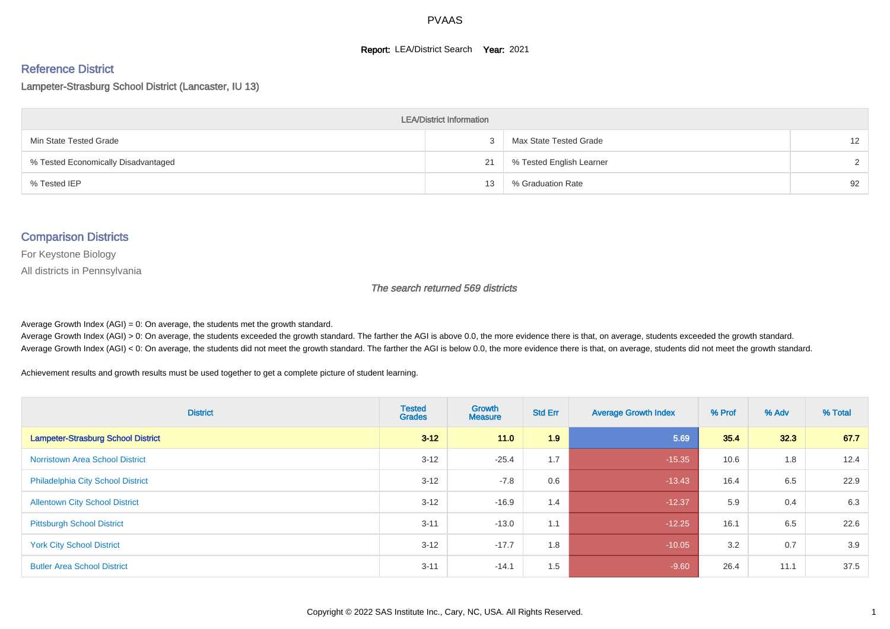#### **Report: LEA/District Search Year: 2021**

# Reference District

Lampeter-Strasburg School District (Lancaster, IU 13)

| <b>LEA/District Information</b>     |    |                          |          |  |  |  |  |  |  |  |
|-------------------------------------|----|--------------------------|----------|--|--|--|--|--|--|--|
| Min State Tested Grade              |    | Max State Tested Grade   | 12       |  |  |  |  |  |  |  |
| % Tested Economically Disadvantaged | 21 | % Tested English Learner | $\Omega$ |  |  |  |  |  |  |  |
| % Tested IEP                        | 13 | % Graduation Rate        | 92       |  |  |  |  |  |  |  |

#### Comparison Districts

For Keystone Biology

All districts in Pennsylvania

The search returned 569 districts

Average Growth Index  $(AGI) = 0$ : On average, the students met the growth standard.

Average Growth Index (AGI) > 0: On average, the students exceeded the growth standard. The farther the AGI is above 0.0, the more evidence there is that, on average, students exceeded the growth standard. Average Growth Index (AGI) < 0: On average, the students did not meet the growth standard. The farther the AGI is below 0.0, the more evidence there is that, on average, students did not meet the growth standard.

Achievement results and growth results must be used together to get a complete picture of student learning.

| <b>District</b>                           | <b>Tested</b><br><b>Grades</b> | Growth<br><b>Measure</b> | <b>Std Err</b> | <b>Average Growth Index</b> | % Prof | % Adv | % Total |
|-------------------------------------------|--------------------------------|--------------------------|----------------|-----------------------------|--------|-------|---------|
| <b>Lampeter-Strasburg School District</b> | $3 - 12$                       | 11.0                     | 1.9            | 5.69                        | 35.4   | 32.3  | 67.7    |
| <b>Norristown Area School District</b>    | $3 - 12$                       | $-25.4$                  | 1.7            | $-15.35$                    | 10.6   | 1.8   | 12.4    |
| <b>Philadelphia City School District</b>  | $3 - 12$                       | $-7.8$                   | 0.6            | $-13.43$                    | 16.4   | 6.5   | 22.9    |
| <b>Allentown City School District</b>     | $3 - 12$                       | $-16.9$                  | 1.4            | $-12.37$                    | 5.9    | 0.4   | 6.3     |
| <b>Pittsburgh School District</b>         | $3 - 11$                       | $-13.0$                  | 1.1            | $-12.25$                    | 16.1   | 6.5   | 22.6    |
| <b>York City School District</b>          | $3 - 12$                       | $-17.7$                  | 1.8            | $-10.05$                    | 3.2    | 0.7   | 3.9     |
| <b>Butler Area School District</b>        | $3 - 11$                       | $-14.1$                  | 1.5            | $-9.60$                     | 26.4   | 11.1  | 37.5    |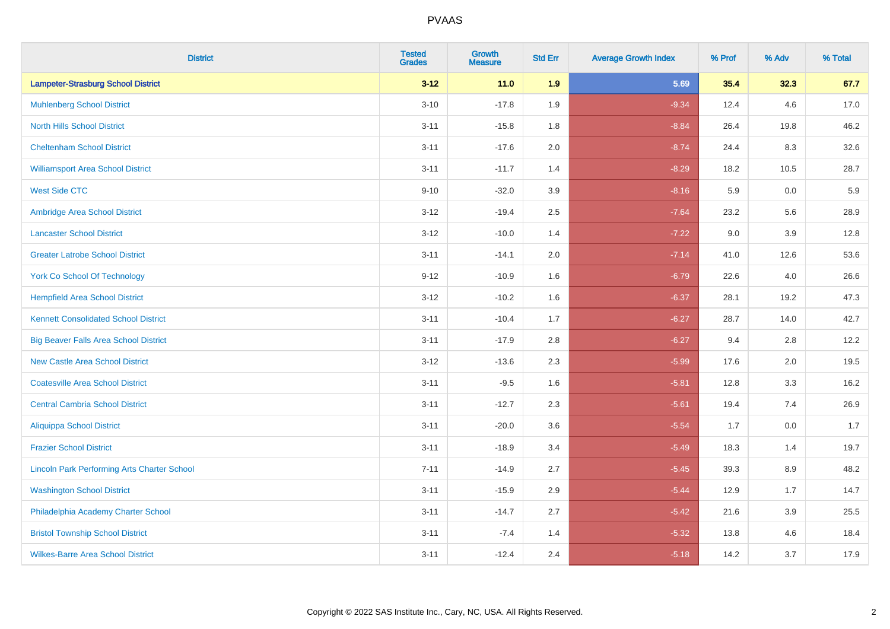| <b>District</b>                                    | <b>Tested</b><br><b>Grades</b> | <b>Growth</b><br><b>Measure</b> | <b>Std Err</b> | <b>Average Growth Index</b> | % Prof | % Adv   | % Total |
|----------------------------------------------------|--------------------------------|---------------------------------|----------------|-----------------------------|--------|---------|---------|
| <b>Lampeter-Strasburg School District</b>          | $3 - 12$                       | 11.0                            | 1.9            | 5.69                        | 35.4   | 32.3    | 67.7    |
| <b>Muhlenberg School District</b>                  | $3 - 10$                       | $-17.8$                         | 1.9            | $-9.34$                     | 12.4   | 4.6     | 17.0    |
| <b>North Hills School District</b>                 | $3 - 11$                       | $-15.8$                         | 1.8            | $-8.84$                     | 26.4   | 19.8    | 46.2    |
| <b>Cheltenham School District</b>                  | $3 - 11$                       | $-17.6$                         | 2.0            | $-8.74$                     | 24.4   | 8.3     | 32.6    |
| <b>Williamsport Area School District</b>           | $3 - 11$                       | $-11.7$                         | 1.4            | $-8.29$                     | 18.2   | 10.5    | 28.7    |
| <b>West Side CTC</b>                               | $9 - 10$                       | $-32.0$                         | 3.9            | $-8.16$                     | 5.9    | 0.0     | 5.9     |
| Ambridge Area School District                      | $3 - 12$                       | $-19.4$                         | 2.5            | $-7.64$                     | 23.2   | 5.6     | 28.9    |
| <b>Lancaster School District</b>                   | $3 - 12$                       | $-10.0$                         | 1.4            | $-7.22$                     | 9.0    | 3.9     | 12.8    |
| <b>Greater Latrobe School District</b>             | $3 - 11$                       | $-14.1$                         | 2.0            | $-7.14$                     | 41.0   | 12.6    | 53.6    |
| <b>York Co School Of Technology</b>                | $9 - 12$                       | $-10.9$                         | 1.6            | $-6.79$                     | 22.6   | 4.0     | 26.6    |
| <b>Hempfield Area School District</b>              | $3 - 12$                       | $-10.2$                         | 1.6            | $-6.37$                     | 28.1   | 19.2    | 47.3    |
| <b>Kennett Consolidated School District</b>        | $3 - 11$                       | $-10.4$                         | 1.7            | $-6.27$                     | 28.7   | 14.0    | 42.7    |
| <b>Big Beaver Falls Area School District</b>       | $3 - 11$                       | $-17.9$                         | 2.8            | $-6.27$                     | 9.4    | 2.8     | 12.2    |
| <b>New Castle Area School District</b>             | $3 - 12$                       | $-13.6$                         | 2.3            | $-5.99$                     | 17.6   | 2.0     | 19.5    |
| <b>Coatesville Area School District</b>            | $3 - 11$                       | $-9.5$                          | 1.6            | $-5.81$                     | 12.8   | 3.3     | 16.2    |
| <b>Central Cambria School District</b>             | $3 - 11$                       | $-12.7$                         | 2.3            | $-5.61$                     | 19.4   | 7.4     | 26.9    |
| <b>Aliquippa School District</b>                   | $3 - 11$                       | $-20.0$                         | 3.6            | $-5.54$                     | 1.7    | 0.0     | 1.7     |
| <b>Frazier School District</b>                     | $3 - 11$                       | $-18.9$                         | 3.4            | $-5.49$                     | 18.3   | 1.4     | 19.7    |
| <b>Lincoln Park Performing Arts Charter School</b> | $7 - 11$                       | $-14.9$                         | 2.7            | $-5.45$                     | 39.3   | 8.9     | 48.2    |
| <b>Washington School District</b>                  | $3 - 11$                       | $-15.9$                         | 2.9            | $-5.44$                     | 12.9   | 1.7     | 14.7    |
| Philadelphia Academy Charter School                | $3 - 11$                       | $-14.7$                         | 2.7            | $-5.42$                     | 21.6   | $3.9\,$ | 25.5    |
| <b>Bristol Township School District</b>            | $3 - 11$                       | $-7.4$                          | 1.4            | $-5.32$                     | 13.8   | 4.6     | 18.4    |
| <b>Wilkes-Barre Area School District</b>           | $3 - 11$                       | $-12.4$                         | 2.4            | $-5.18$                     | 14.2   | 3.7     | 17.9    |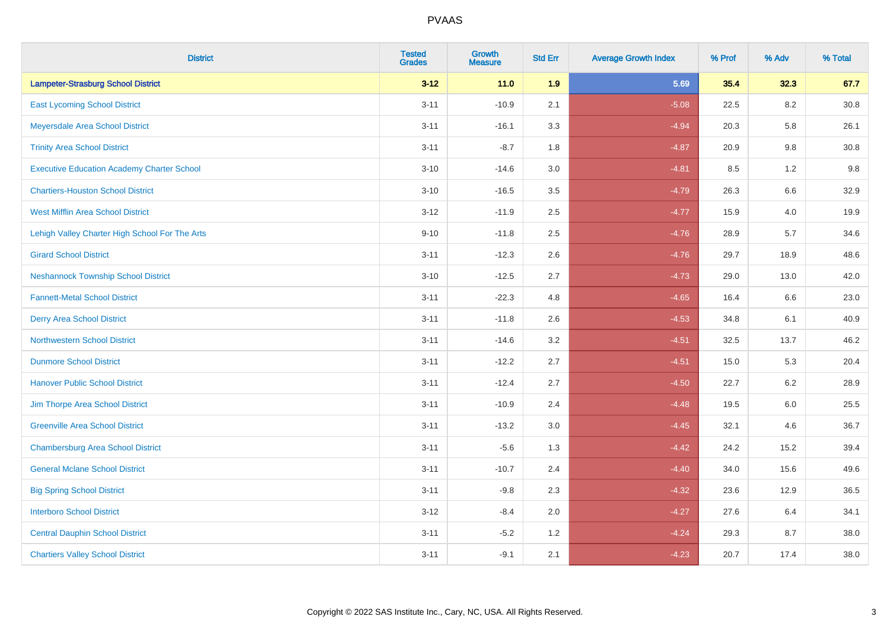| <b>District</b>                                   | <b>Tested</b><br><b>Grades</b> | <b>Growth</b><br><b>Measure</b> | <b>Std Err</b> | <b>Average Growth Index</b> | % Prof | % Adv   | % Total  |
|---------------------------------------------------|--------------------------------|---------------------------------|----------------|-----------------------------|--------|---------|----------|
| <b>Lampeter-Strasburg School District</b>         | $3 - 12$                       | $11.0$                          | 1.9            | 5.69                        | 35.4   | 32.3    | 67.7     |
| <b>East Lycoming School District</b>              | $3 - 11$                       | $-10.9$                         | 2.1            | $-5.08$                     | 22.5   | 8.2     | $30.8\,$ |
| Meyersdale Area School District                   | $3 - 11$                       | $-16.1$                         | 3.3            | $-4.94$                     | 20.3   | 5.8     | 26.1     |
| <b>Trinity Area School District</b>               | $3 - 11$                       | $-8.7$                          | 1.8            | $-4.87$                     | 20.9   | 9.8     | 30.8     |
| <b>Executive Education Academy Charter School</b> | $3 - 10$                       | $-14.6$                         | 3.0            | $-4.81$                     | 8.5    | 1.2     | 9.8      |
| <b>Chartiers-Houston School District</b>          | $3 - 10$                       | $-16.5$                         | 3.5            | $-4.79$                     | 26.3   | $6.6\,$ | 32.9     |
| <b>West Mifflin Area School District</b>          | $3 - 12$                       | $-11.9$                         | 2.5            | $-4.77$                     | 15.9   | 4.0     | 19.9     |
| Lehigh Valley Charter High School For The Arts    | $9 - 10$                       | $-11.8$                         | 2.5            | $-4.76$                     | 28.9   | 5.7     | 34.6     |
| <b>Girard School District</b>                     | $3 - 11$                       | $-12.3$                         | 2.6            | $-4.76$                     | 29.7   | 18.9    | 48.6     |
| <b>Neshannock Township School District</b>        | $3 - 10$                       | $-12.5$                         | 2.7            | $-4.73$                     | 29.0   | 13.0    | 42.0     |
| <b>Fannett-Metal School District</b>              | $3 - 11$                       | $-22.3$                         | 4.8            | $-4.65$                     | 16.4   | 6.6     | 23.0     |
| <b>Derry Area School District</b>                 | $3 - 11$                       | $-11.8$                         | 2.6            | $-4.53$                     | 34.8   | 6.1     | 40.9     |
| <b>Northwestern School District</b>               | $3 - 11$                       | $-14.6$                         | 3.2            | $-4.51$                     | 32.5   | 13.7    | 46.2     |
| <b>Dunmore School District</b>                    | $3 - 11$                       | $-12.2$                         | 2.7            | $-4.51$                     | 15.0   | 5.3     | 20.4     |
| <b>Hanover Public School District</b>             | $3 - 11$                       | $-12.4$                         | 2.7            | $-4.50$                     | 22.7   | 6.2     | 28.9     |
| Jim Thorpe Area School District                   | $3 - 11$                       | $-10.9$                         | 2.4            | $-4.48$                     | 19.5   | $6.0\,$ | 25.5     |
| <b>Greenville Area School District</b>            | $3 - 11$                       | $-13.2$                         | 3.0            | $-4.45$                     | 32.1   | 4.6     | 36.7     |
| <b>Chambersburg Area School District</b>          | $3 - 11$                       | $-5.6$                          | 1.3            | $-4.42$                     | 24.2   | 15.2    | 39.4     |
| <b>General Mclane School District</b>             | $3 - 11$                       | $-10.7$                         | 2.4            | $-4.40$                     | 34.0   | 15.6    | 49.6     |
| <b>Big Spring School District</b>                 | $3 - 11$                       | $-9.8$                          | 2.3            | $-4.32$                     | 23.6   | 12.9    | 36.5     |
| <b>Interboro School District</b>                  | $3 - 12$                       | $-8.4$                          | 2.0            | $-4.27$                     | 27.6   | 6.4     | 34.1     |
| <b>Central Dauphin School District</b>            | $3 - 11$                       | $-5.2$                          | 1.2            | $-4.24$                     | 29.3   | 8.7     | 38.0     |
| <b>Chartiers Valley School District</b>           | $3 - 11$                       | $-9.1$                          | 2.1            | $-4.23$                     | 20.7   | 17.4    | 38.0     |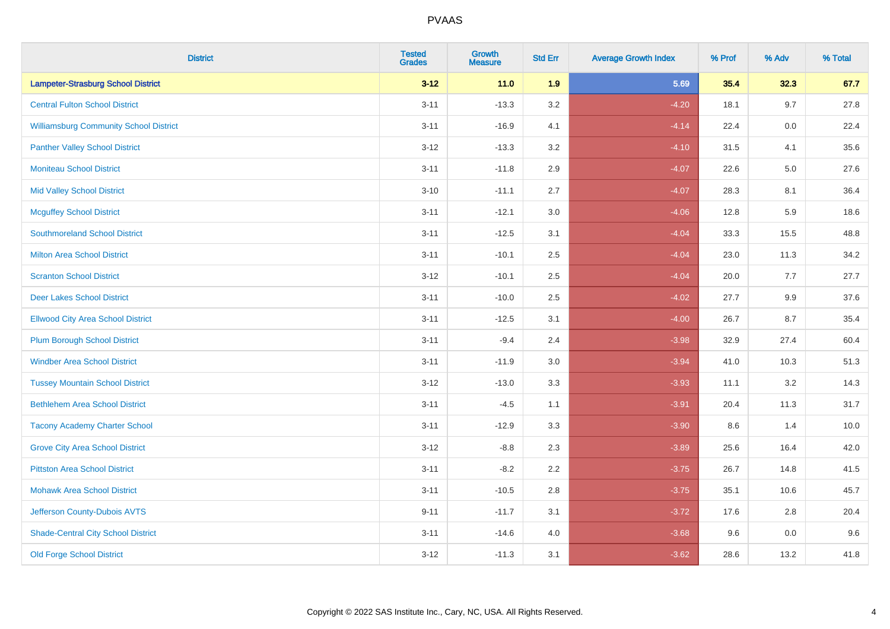| <b>District</b>                               | <b>Tested</b><br><b>Grades</b> | <b>Growth</b><br><b>Measure</b> | <b>Std Err</b> | <b>Average Growth Index</b> | % Prof | % Adv   | % Total |
|-----------------------------------------------|--------------------------------|---------------------------------|----------------|-----------------------------|--------|---------|---------|
| <b>Lampeter-Strasburg School District</b>     | $3 - 12$                       | $11.0$                          | 1.9            | 5.69                        | 35.4   | 32.3    | 67.7    |
| <b>Central Fulton School District</b>         | $3 - 11$                       | $-13.3$                         | 3.2            | $-4.20$                     | 18.1   | 9.7     | 27.8    |
| <b>Williamsburg Community School District</b> | $3 - 11$                       | $-16.9$                         | 4.1            | $-4.14$                     | 22.4   | 0.0     | 22.4    |
| <b>Panther Valley School District</b>         | $3 - 12$                       | $-13.3$                         | 3.2            | $-4.10$                     | 31.5   | 4.1     | 35.6    |
| <b>Moniteau School District</b>               | $3 - 11$                       | $-11.8$                         | 2.9            | $-4.07$                     | 22.6   | 5.0     | 27.6    |
| <b>Mid Valley School District</b>             | $3 - 10$                       | $-11.1$                         | 2.7            | $-4.07$                     | 28.3   | 8.1     | 36.4    |
| <b>Mcguffey School District</b>               | $3 - 11$                       | $-12.1$                         | 3.0            | $-4.06$                     | 12.8   | 5.9     | 18.6    |
| <b>Southmoreland School District</b>          | $3 - 11$                       | $-12.5$                         | 3.1            | $-4.04$                     | 33.3   | 15.5    | 48.8    |
| <b>Milton Area School District</b>            | $3 - 11$                       | $-10.1$                         | 2.5            | $-4.04$                     | 23.0   | 11.3    | 34.2    |
| <b>Scranton School District</b>               | $3 - 12$                       | $-10.1$                         | 2.5            | $-4.04$                     | 20.0   | 7.7     | 27.7    |
| <b>Deer Lakes School District</b>             | $3 - 11$                       | $-10.0$                         | 2.5            | $-4.02$                     | 27.7   | 9.9     | 37.6    |
| <b>Ellwood City Area School District</b>      | $3 - 11$                       | $-12.5$                         | 3.1            | $-4.00$                     | 26.7   | 8.7     | 35.4    |
| <b>Plum Borough School District</b>           | $3 - 11$                       | $-9.4$                          | 2.4            | $-3.98$                     | 32.9   | 27.4    | 60.4    |
| <b>Windber Area School District</b>           | $3 - 11$                       | $-11.9$                         | 3.0            | $-3.94$                     | 41.0   | 10.3    | 51.3    |
| <b>Tussey Mountain School District</b>        | $3 - 12$                       | $-13.0$                         | 3.3            | $-3.93$                     | 11.1   | 3.2     | 14.3    |
| <b>Bethlehem Area School District</b>         | $3 - 11$                       | $-4.5$                          | 1.1            | $-3.91$                     | 20.4   | 11.3    | 31.7    |
| <b>Tacony Academy Charter School</b>          | $3 - 11$                       | $-12.9$                         | 3.3            | $-3.90$                     | 8.6    | 1.4     | 10.0    |
| <b>Grove City Area School District</b>        | $3 - 12$                       | $-8.8$                          | 2.3            | $-3.89$                     | 25.6   | 16.4    | 42.0    |
| <b>Pittston Area School District</b>          | $3 - 11$                       | $-8.2$                          | 2.2            | $-3.75$                     | 26.7   | 14.8    | 41.5    |
| <b>Mohawk Area School District</b>            | $3 - 11$                       | $-10.5$                         | 2.8            | $-3.75$                     | 35.1   | 10.6    | 45.7    |
| Jefferson County-Dubois AVTS                  | $9 - 11$                       | $-11.7$                         | 3.1            | $-3.72$                     | 17.6   | 2.8     | 20.4    |
| <b>Shade-Central City School District</b>     | $3 - 11$                       | $-14.6$                         | 4.0            | $-3.68$                     | 9.6    | $0.0\,$ | 9.6     |
| <b>Old Forge School District</b>              | $3 - 12$                       | $-11.3$                         | 3.1            | $-3.62$                     | 28.6   | 13.2    | 41.8    |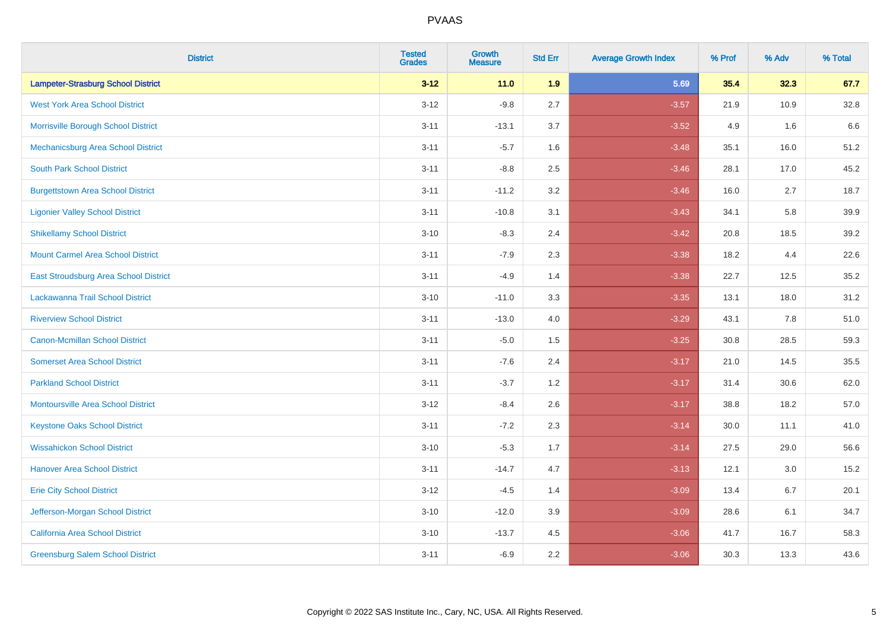| <b>District</b>                           | <b>Tested</b><br><b>Grades</b> | <b>Growth</b><br><b>Measure</b> | <b>Std Err</b> | <b>Average Growth Index</b> | % Prof | % Adv | % Total |
|-------------------------------------------|--------------------------------|---------------------------------|----------------|-----------------------------|--------|-------|---------|
| <b>Lampeter-Strasburg School District</b> | $3 - 12$                       | 11.0                            | 1.9            | 5.69                        | 35.4   | 32.3  | 67.7    |
| <b>West York Area School District</b>     | $3 - 12$                       | $-9.8$                          | 2.7            | $-3.57$                     | 21.9   | 10.9  | 32.8    |
| Morrisville Borough School District       | $3 - 11$                       | $-13.1$                         | 3.7            | $-3.52$                     | 4.9    | 1.6   | 6.6     |
| Mechanicsburg Area School District        | $3 - 11$                       | $-5.7$                          | 1.6            | $-3.48$                     | 35.1   | 16.0  | 51.2    |
| <b>South Park School District</b>         | $3 - 11$                       | $-8.8$                          | 2.5            | $-3.46$                     | 28.1   | 17.0  | 45.2    |
| <b>Burgettstown Area School District</b>  | $3 - 11$                       | $-11.2$                         | 3.2            | $-3.46$                     | 16.0   | 2.7   | 18.7    |
| <b>Ligonier Valley School District</b>    | $3 - 11$                       | $-10.8$                         | 3.1            | $-3.43$                     | 34.1   | 5.8   | 39.9    |
| <b>Shikellamy School District</b>         | $3 - 10$                       | $-8.3$                          | 2.4            | $-3.42$                     | 20.8   | 18.5  | 39.2    |
| <b>Mount Carmel Area School District</b>  | $3 - 11$                       | $-7.9$                          | 2.3            | $-3.38$                     | 18.2   | 4.4   | 22.6    |
| East Stroudsburg Area School District     | $3 - 11$                       | $-4.9$                          | 1.4            | $-3.38$                     | 22.7   | 12.5  | 35.2    |
| Lackawanna Trail School District          | $3 - 10$                       | $-11.0$                         | 3.3            | $-3.35$                     | 13.1   | 18.0  | 31.2    |
| <b>Riverview School District</b>          | $3 - 11$                       | $-13.0$                         | 4.0            | $-3.29$                     | 43.1   | 7.8   | 51.0    |
| Canon-Mcmillan School District            | $3 - 11$                       | $-5.0$                          | 1.5            | $-3.25$                     | 30.8   | 28.5  | 59.3    |
| <b>Somerset Area School District</b>      | $3 - 11$                       | $-7.6$                          | 2.4            | $-3.17$                     | 21.0   | 14.5  | 35.5    |
| <b>Parkland School District</b>           | $3 - 11$                       | $-3.7$                          | 1.2            | $-3.17$                     | 31.4   | 30.6  | 62.0    |
| <b>Montoursville Area School District</b> | $3 - 12$                       | $-8.4$                          | 2.6            | $-3.17$                     | 38.8   | 18.2  | 57.0    |
| <b>Keystone Oaks School District</b>      | $3 - 11$                       | $-7.2$                          | 2.3            | $-3.14$                     | 30.0   | 11.1  | 41.0    |
| <b>Wissahickon School District</b>        | $3 - 10$                       | $-5.3$                          | 1.7            | $-3.14$                     | 27.5   | 29.0  | 56.6    |
| <b>Hanover Area School District</b>       | $3 - 11$                       | $-14.7$                         | 4.7            | $-3.13$                     | 12.1   | 3.0   | 15.2    |
| <b>Erie City School District</b>          | $3 - 12$                       | $-4.5$                          | 1.4            | $-3.09$                     | 13.4   | 6.7   | 20.1    |
| Jefferson-Morgan School District          | $3 - 10$                       | $-12.0$                         | 3.9            | $-3.09$                     | 28.6   | 6.1   | 34.7    |
| California Area School District           | $3 - 10$                       | $-13.7$                         | 4.5            | $-3.06$                     | 41.7   | 16.7  | 58.3    |
| <b>Greensburg Salem School District</b>   | $3 - 11$                       | $-6.9$                          | 2.2            | $-3.06$                     | 30.3   | 13.3  | 43.6    |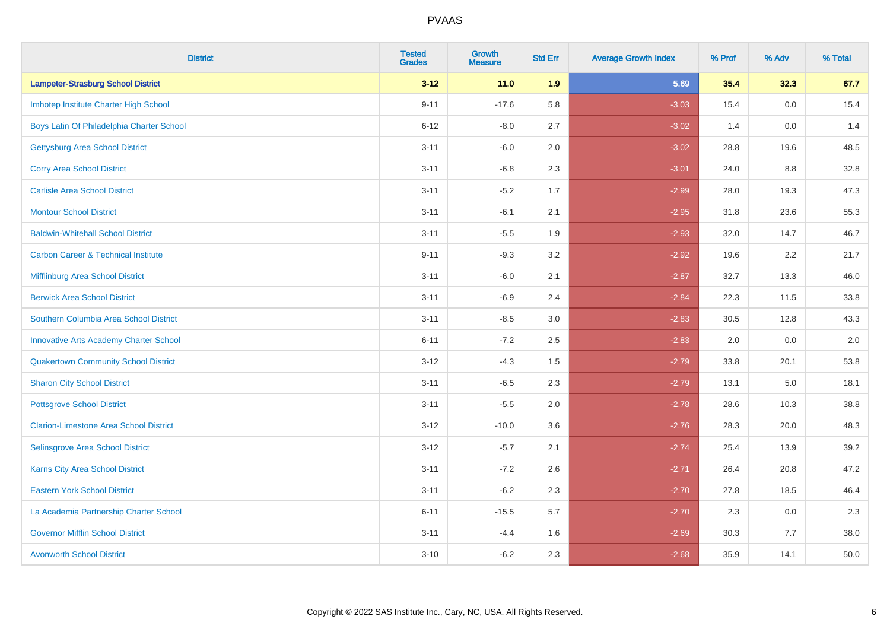| <b>District</b>                                | <b>Tested</b><br><b>Grades</b> | <b>Growth</b><br><b>Measure</b> | <b>Std Err</b> | <b>Average Growth Index</b> | % Prof | % Adv | % Total |
|------------------------------------------------|--------------------------------|---------------------------------|----------------|-----------------------------|--------|-------|---------|
| <b>Lampeter-Strasburg School District</b>      | $3 - 12$                       | $11.0$                          | 1.9            | 5.69                        | 35.4   | 32.3  | 67.7    |
| Imhotep Institute Charter High School          | $9 - 11$                       | $-17.6$                         | 5.8            | $-3.03$                     | 15.4   | 0.0   | 15.4    |
| Boys Latin Of Philadelphia Charter School      | $6 - 12$                       | $-8.0$                          | 2.7            | $-3.02$                     | 1.4    | 0.0   | 1.4     |
| <b>Gettysburg Area School District</b>         | $3 - 11$                       | $-6.0$                          | 2.0            | $-3.02$                     | 28.8   | 19.6  | 48.5    |
| <b>Corry Area School District</b>              | $3 - 11$                       | $-6.8$                          | 2.3            | $-3.01$                     | 24.0   | 8.8   | 32.8    |
| <b>Carlisle Area School District</b>           | $3 - 11$                       | $-5.2$                          | 1.7            | $-2.99$                     | 28.0   | 19.3  | 47.3    |
| <b>Montour School District</b>                 | $3 - 11$                       | $-6.1$                          | 2.1            | $-2.95$                     | 31.8   | 23.6  | 55.3    |
| <b>Baldwin-Whitehall School District</b>       | $3 - 11$                       | $-5.5$                          | 1.9            | $-2.93$                     | 32.0   | 14.7  | 46.7    |
| <b>Carbon Career &amp; Technical Institute</b> | $9 - 11$                       | $-9.3$                          | 3.2            | $-2.92$                     | 19.6   | 2.2   | 21.7    |
| Mifflinburg Area School District               | $3 - 11$                       | $-6.0$                          | 2.1            | $-2.87$                     | 32.7   | 13.3  | 46.0    |
| <b>Berwick Area School District</b>            | $3 - 11$                       | $-6.9$                          | 2.4            | $-2.84$                     | 22.3   | 11.5  | 33.8    |
| Southern Columbia Area School District         | $3 - 11$                       | $-8.5$                          | 3.0            | $-2.83$                     | 30.5   | 12.8  | 43.3    |
| <b>Innovative Arts Academy Charter School</b>  | $6 - 11$                       | $-7.2$                          | 2.5            | $-2.83$                     | 2.0    | 0.0   | $2.0\,$ |
| <b>Quakertown Community School District</b>    | $3 - 12$                       | $-4.3$                          | 1.5            | $-2.79$                     | 33.8   | 20.1  | 53.8    |
| <b>Sharon City School District</b>             | $3 - 11$                       | $-6.5$                          | 2.3            | $-2.79$                     | 13.1   | 5.0   | 18.1    |
| <b>Pottsgrove School District</b>              | $3 - 11$                       | $-5.5$                          | 2.0            | $-2.78$                     | 28.6   | 10.3  | 38.8    |
| <b>Clarion-Limestone Area School District</b>  | $3 - 12$                       | $-10.0$                         | 3.6            | $-2.76$                     | 28.3   | 20.0  | 48.3    |
| Selinsgrove Area School District               | $3 - 12$                       | $-5.7$                          | 2.1            | $-2.74$                     | 25.4   | 13.9  | 39.2    |
| <b>Karns City Area School District</b>         | $3 - 11$                       | $-7.2$                          | 2.6            | $-2.71$                     | 26.4   | 20.8  | 47.2    |
| <b>Eastern York School District</b>            | $3 - 11$                       | $-6.2$                          | 2.3            | $-2.70$                     | 27.8   | 18.5  | 46.4    |
| La Academia Partnership Charter School         | $6 - 11$                       | $-15.5$                         | 5.7            | $-2.70$                     | 2.3    | 0.0   | 2.3     |
| <b>Governor Mifflin School District</b>        | $3 - 11$                       | $-4.4$                          | 1.6            | $-2.69$                     | 30.3   | 7.7   | 38.0    |
| <b>Avonworth School District</b>               | $3 - 10$                       | $-6.2$                          | 2.3            | $-2.68$                     | 35.9   | 14.1  | 50.0    |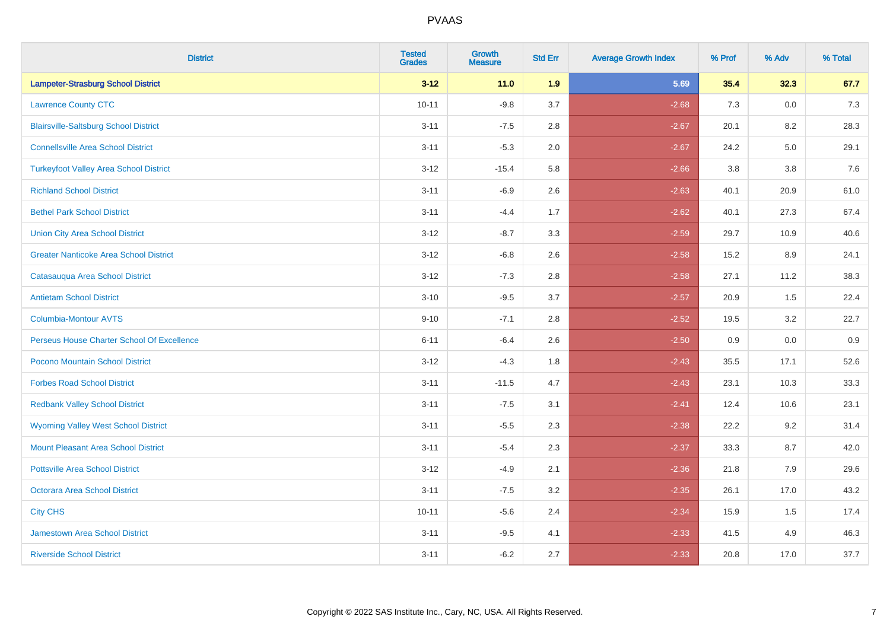| <b>District</b>                               | <b>Tested</b><br><b>Grades</b> | <b>Growth</b><br><b>Measure</b> | <b>Std Err</b> | <b>Average Growth Index</b> | % Prof | % Adv | % Total |
|-----------------------------------------------|--------------------------------|---------------------------------|----------------|-----------------------------|--------|-------|---------|
| <b>Lampeter-Strasburg School District</b>     | $3 - 12$                       | $11.0$                          | 1.9            | 5.69                        | 35.4   | 32.3  | 67.7    |
| <b>Lawrence County CTC</b>                    | $10 - 11$                      | $-9.8$                          | 3.7            | $-2.68$                     | 7.3    | 0.0   | $7.3$   |
| <b>Blairsville-Saltsburg School District</b>  | $3 - 11$                       | $-7.5$                          | 2.8            | $-2.67$                     | 20.1   | 8.2   | 28.3    |
| <b>Connellsville Area School District</b>     | $3 - 11$                       | $-5.3$                          | 2.0            | $-2.67$                     | 24.2   | 5.0   | 29.1    |
| <b>Turkeyfoot Valley Area School District</b> | $3 - 12$                       | $-15.4$                         | 5.8            | $-2.66$                     | 3.8    | 3.8   | 7.6     |
| <b>Richland School District</b>               | $3 - 11$                       | $-6.9$                          | 2.6            | $-2.63$                     | 40.1   | 20.9  | 61.0    |
| <b>Bethel Park School District</b>            | $3 - 11$                       | $-4.4$                          | 1.7            | $-2.62$                     | 40.1   | 27.3  | 67.4    |
| <b>Union City Area School District</b>        | $3 - 12$                       | $-8.7$                          | 3.3            | $-2.59$                     | 29.7   | 10.9  | 40.6    |
| <b>Greater Nanticoke Area School District</b> | $3 - 12$                       | $-6.8$                          | 2.6            | $-2.58$                     | 15.2   | 8.9   | 24.1    |
| Catasauqua Area School District               | $3 - 12$                       | $-7.3$                          | 2.8            | $-2.58$                     | 27.1   | 11.2  | 38.3    |
| <b>Antietam School District</b>               | $3 - 10$                       | $-9.5$                          | 3.7            | $-2.57$                     | 20.9   | 1.5   | 22.4    |
| Columbia-Montour AVTS                         | $9 - 10$                       | $-7.1$                          | 2.8            | $-2.52$                     | 19.5   | 3.2   | 22.7    |
| Perseus House Charter School Of Excellence    | $6 - 11$                       | $-6.4$                          | 2.6            | $-2.50$                     | 0.9    | 0.0   | 0.9     |
| Pocono Mountain School District               | $3 - 12$                       | $-4.3$                          | 1.8            | $-2.43$                     | 35.5   | 17.1  | 52.6    |
| <b>Forbes Road School District</b>            | $3 - 11$                       | $-11.5$                         | 4.7            | $-2.43$                     | 23.1   | 10.3  | 33.3    |
| <b>Redbank Valley School District</b>         | $3 - 11$                       | $-7.5$                          | 3.1            | $-2.41$                     | 12.4   | 10.6  | 23.1    |
| <b>Wyoming Valley West School District</b>    | $3 - 11$                       | $-5.5$                          | 2.3            | $-2.38$                     | 22.2   | 9.2   | 31.4    |
| <b>Mount Pleasant Area School District</b>    | $3 - 11$                       | $-5.4$                          | 2.3            | $-2.37$                     | 33.3   | 8.7   | 42.0    |
| <b>Pottsville Area School District</b>        | $3 - 12$                       | $-4.9$                          | 2.1            | $-2.36$                     | 21.8   | 7.9   | 29.6    |
| Octorara Area School District                 | $3 - 11$                       | $-7.5$                          | 3.2            | $-2.35$                     | 26.1   | 17.0  | 43.2    |
| <b>City CHS</b>                               | $10 - 11$                      | $-5.6$                          | 2.4            | $-2.34$                     | 15.9   | 1.5   | 17.4    |
| <b>Jamestown Area School District</b>         | $3 - 11$                       | $-9.5$                          | 4.1            | $-2.33$                     | 41.5   | 4.9   | 46.3    |
| <b>Riverside School District</b>              | $3 - 11$                       | $-6.2$                          | 2.7            | $-2.33$                     | 20.8   | 17.0  | 37.7    |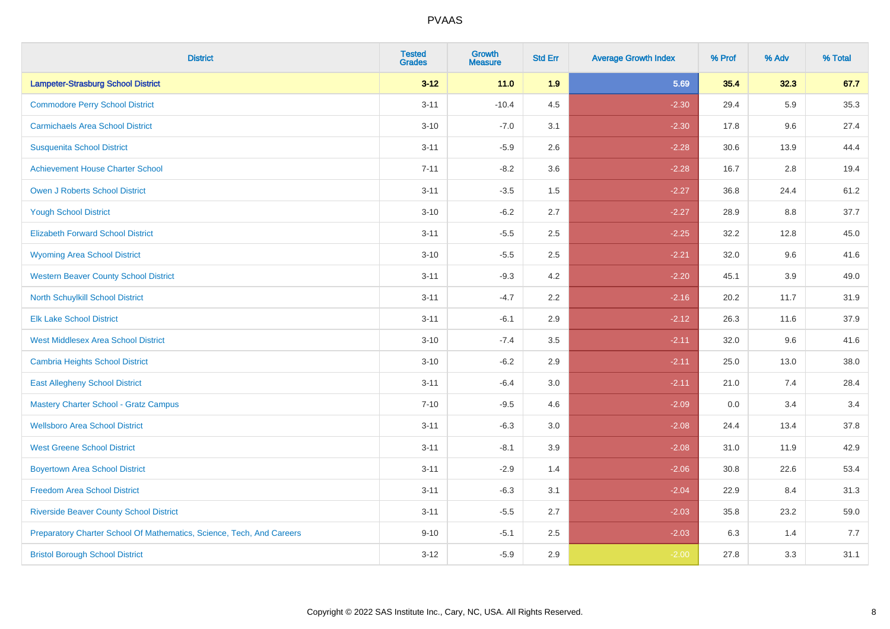| <b>District</b>                                                       | <b>Tested</b><br><b>Grades</b> | <b>Growth</b><br><b>Measure</b> | <b>Std Err</b> | <b>Average Growth Index</b> | % Prof | % Adv | % Total |
|-----------------------------------------------------------------------|--------------------------------|---------------------------------|----------------|-----------------------------|--------|-------|---------|
| <b>Lampeter-Strasburg School District</b>                             | $3 - 12$                       | $11.0$                          | 1.9            | 5.69                        | 35.4   | 32.3  | 67.7    |
| <b>Commodore Perry School District</b>                                | $3 - 11$                       | $-10.4$                         | 4.5            | $-2.30$                     | 29.4   | 5.9   | 35.3    |
| <b>Carmichaels Area School District</b>                               | $3 - 10$                       | $-7.0$                          | 3.1            | $-2.30$                     | 17.8   | 9.6   | 27.4    |
| <b>Susquenita School District</b>                                     | $3 - 11$                       | $-5.9$                          | 2.6            | $-2.28$                     | 30.6   | 13.9  | 44.4    |
| <b>Achievement House Charter School</b>                               | $7 - 11$                       | $-8.2$                          | 3.6            | $-2.28$                     | 16.7   | 2.8   | 19.4    |
| <b>Owen J Roberts School District</b>                                 | $3 - 11$                       | $-3.5$                          | 1.5            | $-2.27$                     | 36.8   | 24.4  | 61.2    |
| <b>Yough School District</b>                                          | $3 - 10$                       | $-6.2$                          | 2.7            | $-2.27$                     | 28.9   | 8.8   | 37.7    |
| <b>Elizabeth Forward School District</b>                              | $3 - 11$                       | $-5.5$                          | 2.5            | $-2.25$                     | 32.2   | 12.8  | 45.0    |
| <b>Wyoming Area School District</b>                                   | $3 - 10$                       | $-5.5$                          | 2.5            | $-2.21$                     | 32.0   | 9.6   | 41.6    |
| <b>Western Beaver County School District</b>                          | $3 - 11$                       | $-9.3$                          | 4.2            | $-2.20$                     | 45.1   | 3.9   | 49.0    |
| North Schuylkill School District                                      | $3 - 11$                       | $-4.7$                          | 2.2            | $-2.16$                     | 20.2   | 11.7  | 31.9    |
| <b>Elk Lake School District</b>                                       | $3 - 11$                       | $-6.1$                          | 2.9            | $-2.12$                     | 26.3   | 11.6  | 37.9    |
| <b>West Middlesex Area School District</b>                            | $3 - 10$                       | $-7.4$                          | 3.5            | $-2.11$                     | 32.0   | 9.6   | 41.6    |
| <b>Cambria Heights School District</b>                                | $3 - 10$                       | $-6.2$                          | 2.9            | $-2.11$                     | 25.0   | 13.0  | 38.0    |
| <b>East Allegheny School District</b>                                 | $3 - 11$                       | $-6.4$                          | 3.0            | $-2.11$                     | 21.0   | 7.4   | 28.4    |
| <b>Mastery Charter School - Gratz Campus</b>                          | $7 - 10$                       | $-9.5$                          | 4.6            | $-2.09$                     | 0.0    | 3.4   | 3.4     |
| <b>Wellsboro Area School District</b>                                 | $3 - 11$                       | $-6.3$                          | 3.0            | $-2.08$                     | 24.4   | 13.4  | 37.8    |
| <b>West Greene School District</b>                                    | $3 - 11$                       | $-8.1$                          | 3.9            | $-2.08$                     | 31.0   | 11.9  | 42.9    |
| <b>Boyertown Area School District</b>                                 | $3 - 11$                       | $-2.9$                          | 1.4            | $-2.06$                     | 30.8   | 22.6  | 53.4    |
| <b>Freedom Area School District</b>                                   | $3 - 11$                       | $-6.3$                          | 3.1            | $-2.04$                     | 22.9   | 8.4   | 31.3    |
| <b>Riverside Beaver County School District</b>                        | $3 - 11$                       | $-5.5$                          | 2.7            | $-2.03$                     | 35.8   | 23.2  | 59.0    |
| Preparatory Charter School Of Mathematics, Science, Tech, And Careers | $9 - 10$                       | $-5.1$                          | 2.5            | $-2.03$                     | 6.3    | 1.4   | 7.7     |
| <b>Bristol Borough School District</b>                                | $3 - 12$                       | $-5.9$                          | 2.9            | $-2.00$                     | 27.8   | 3.3   | 31.1    |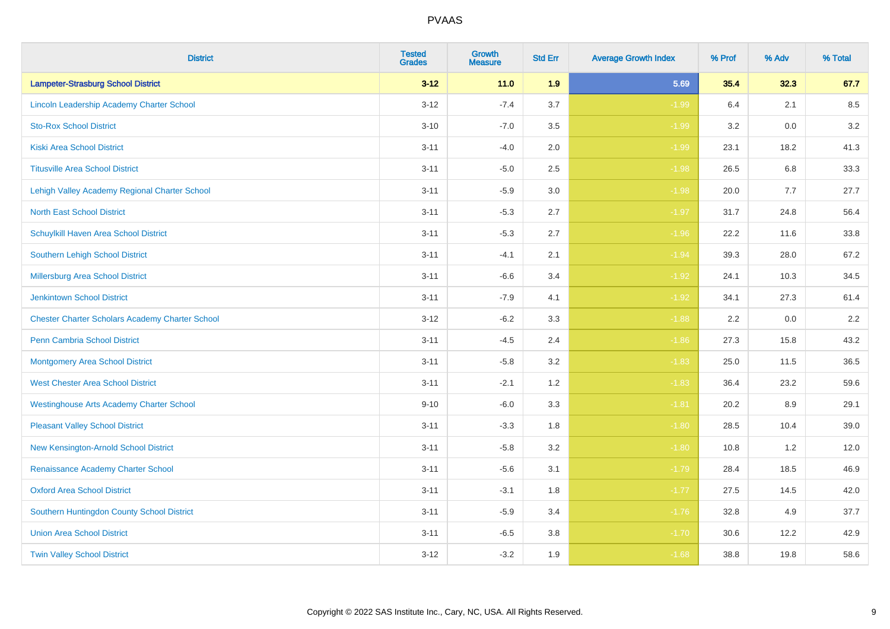| <b>District</b>                                        | <b>Tested</b><br><b>Grades</b> | <b>Growth</b><br><b>Measure</b> | <b>Std Err</b> | <b>Average Growth Index</b> | % Prof | % Adv | % Total |
|--------------------------------------------------------|--------------------------------|---------------------------------|----------------|-----------------------------|--------|-------|---------|
| <b>Lampeter-Strasburg School District</b>              | $3 - 12$                       | $11.0$                          | 1.9            | 5.69                        | 35.4   | 32.3  | 67.7    |
| Lincoln Leadership Academy Charter School              | $3 - 12$                       | $-7.4$                          | 3.7            | $-1.99$                     | 6.4    | 2.1   | 8.5     |
| <b>Sto-Rox School District</b>                         | $3 - 10$                       | $-7.0$                          | 3.5            | $-1.99$                     | 3.2    | 0.0   | 3.2     |
| <b>Kiski Area School District</b>                      | $3 - 11$                       | $-4.0$                          | 2.0            | $-1.99$                     | 23.1   | 18.2  | 41.3    |
| <b>Titusville Area School District</b>                 | $3 - 11$                       | $-5.0$                          | 2.5            | $-1.98$                     | 26.5   | 6.8   | 33.3    |
| Lehigh Valley Academy Regional Charter School          | $3 - 11$                       | $-5.9$                          | 3.0            | $-1.98$                     | 20.0   | 7.7   | 27.7    |
| <b>North East School District</b>                      | $3 - 11$                       | $-5.3$                          | 2.7            | $-1.97$                     | 31.7   | 24.8  | 56.4    |
| Schuylkill Haven Area School District                  | $3 - 11$                       | $-5.3$                          | 2.7            | $-1.96$                     | 22.2   | 11.6  | 33.8    |
| <b>Southern Lehigh School District</b>                 | $3 - 11$                       | $-4.1$                          | 2.1            | $-1.94$                     | 39.3   | 28.0  | 67.2    |
| Millersburg Area School District                       | $3 - 11$                       | $-6.6$                          | 3.4            | $-1.92$                     | 24.1   | 10.3  | 34.5    |
| <b>Jenkintown School District</b>                      | $3 - 11$                       | $-7.9$                          | 4.1            | $-1.92$                     | 34.1   | 27.3  | 61.4    |
| <b>Chester Charter Scholars Academy Charter School</b> | $3 - 12$                       | $-6.2$                          | 3.3            | $-1.88$                     | 2.2    | 0.0   | 2.2     |
| Penn Cambria School District                           | $3 - 11$                       | $-4.5$                          | 2.4            | $-1.86$                     | 27.3   | 15.8  | 43.2    |
| <b>Montgomery Area School District</b>                 | $3 - 11$                       | $-5.8$                          | 3.2            | $-1.83$                     | 25.0   | 11.5  | 36.5    |
| <b>West Chester Area School District</b>               | $3 - 11$                       | $-2.1$                          | 1.2            | $-1.83$                     | 36.4   | 23.2  | 59.6    |
| <b>Westinghouse Arts Academy Charter School</b>        | $9 - 10$                       | $-6.0$                          | 3.3            | $-1.81$                     | 20.2   | 8.9   | 29.1    |
| <b>Pleasant Valley School District</b>                 | $3 - 11$                       | $-3.3$                          | 1.8            | $-1.80$                     | 28.5   | 10.4  | 39.0    |
| New Kensington-Arnold School District                  | $3 - 11$                       | $-5.8$                          | 3.2            | $-1.80$                     | 10.8   | 1.2   | 12.0    |
| Renaissance Academy Charter School                     | $3 - 11$                       | $-5.6$                          | 3.1            | $-1.79$                     | 28.4   | 18.5  | 46.9    |
| <b>Oxford Area School District</b>                     | $3 - 11$                       | $-3.1$                          | 1.8            | $-1.77$                     | 27.5   | 14.5  | 42.0    |
| Southern Huntingdon County School District             | $3 - 11$                       | $-5.9$                          | 3.4            | $-1.76$                     | 32.8   | 4.9   | 37.7    |
| <b>Union Area School District</b>                      | $3 - 11$                       | $-6.5$                          | 3.8            | $-1.70$                     | 30.6   | 12.2  | 42.9    |
| <b>Twin Valley School District</b>                     | $3 - 12$                       | $-3.2$                          | 1.9            | $-1.68$                     | 38.8   | 19.8  | 58.6    |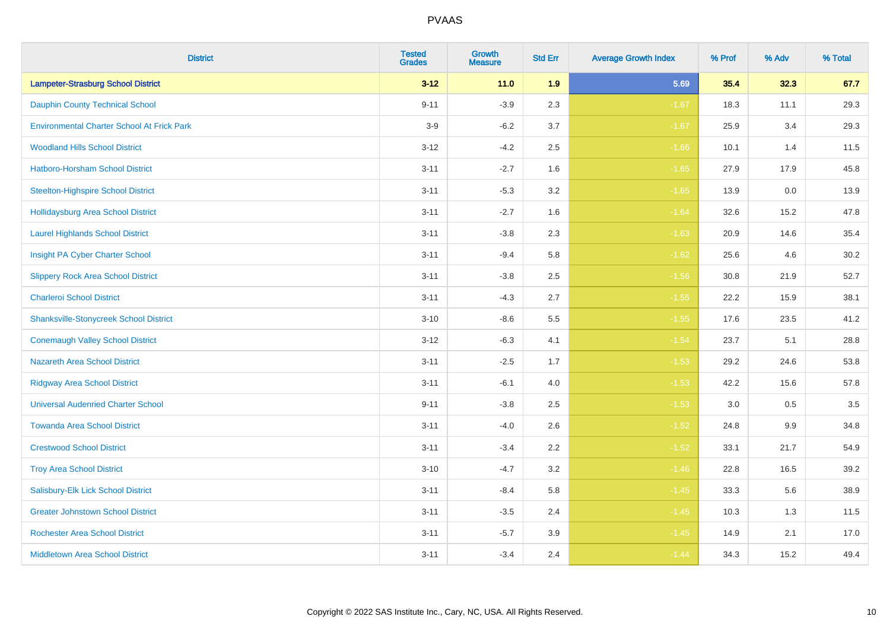| <b>District</b>                                   | <b>Tested</b><br><b>Grades</b> | <b>Growth</b><br><b>Measure</b> | <b>Std Err</b> | <b>Average Growth Index</b> | % Prof | % Adv | % Total |
|---------------------------------------------------|--------------------------------|---------------------------------|----------------|-----------------------------|--------|-------|---------|
| <b>Lampeter-Strasburg School District</b>         | $3 - 12$                       | $11.0$                          | 1.9            | 5.69                        | 35.4   | 32.3  | 67.7    |
| <b>Dauphin County Technical School</b>            | $9 - 11$                       | $-3.9$                          | 2.3            | $-1.67$                     | 18.3   | 11.1  | 29.3    |
| <b>Environmental Charter School At Frick Park</b> | $3-9$                          | $-6.2$                          | 3.7            | $-1.67$                     | 25.9   | 3.4   | 29.3    |
| <b>Woodland Hills School District</b>             | $3 - 12$                       | $-4.2$                          | 2.5            | $-1.66$                     | 10.1   | 1.4   | 11.5    |
| Hatboro-Horsham School District                   | $3 - 11$                       | $-2.7$                          | 1.6            | $-1.65$                     | 27.9   | 17.9  | 45.8    |
| <b>Steelton-Highspire School District</b>         | $3 - 11$                       | $-5.3$                          | 3.2            | $-1.65$                     | 13.9   | 0.0   | 13.9    |
| <b>Hollidaysburg Area School District</b>         | $3 - 11$                       | $-2.7$                          | 1.6            | $-1.64$                     | 32.6   | 15.2  | 47.8    |
| <b>Laurel Highlands School District</b>           | $3 - 11$                       | $-3.8$                          | 2.3            | $-1.63$                     | 20.9   | 14.6  | 35.4    |
| Insight PA Cyber Charter School                   | $3 - 11$                       | $-9.4$                          | 5.8            | $-1.62$                     | 25.6   | 4.6   | 30.2    |
| <b>Slippery Rock Area School District</b>         | $3 - 11$                       | $-3.8$                          | 2.5            | $-1.56$                     | 30.8   | 21.9  | 52.7    |
| <b>Charleroi School District</b>                  | $3 - 11$                       | $-4.3$                          | 2.7            | $-1.55$                     | 22.2   | 15.9  | 38.1    |
| <b>Shanksville-Stonycreek School District</b>     | $3 - 10$                       | $-8.6$                          | 5.5            | $-1.55$                     | 17.6   | 23.5  | 41.2    |
| <b>Conemaugh Valley School District</b>           | $3 - 12$                       | $-6.3$                          | 4.1            | $-1.54$                     | 23.7   | 5.1   | 28.8    |
| <b>Nazareth Area School District</b>              | $3 - 11$                       | $-2.5$                          | 1.7            | $-1.53$                     | 29.2   | 24.6  | 53.8    |
| <b>Ridgway Area School District</b>               | $3 - 11$                       | $-6.1$                          | 4.0            | $-1.53$                     | 42.2   | 15.6  | 57.8    |
| <b>Universal Audenried Charter School</b>         | $9 - 11$                       | $-3.8$                          | 2.5            | $-1.53$                     | 3.0    | 0.5   | 3.5     |
| <b>Towanda Area School District</b>               | $3 - 11$                       | $-4.0$                          | 2.6            | $-1.52$                     | 24.8   | 9.9   | 34.8    |
| <b>Crestwood School District</b>                  | $3 - 11$                       | $-3.4$                          | 2.2            | $-1.52$                     | 33.1   | 21.7  | 54.9    |
| <b>Troy Area School District</b>                  | $3 - 10$                       | $-4.7$                          | 3.2            | $-1.46$                     | 22.8   | 16.5  | 39.2    |
| Salisbury-Elk Lick School District                | $3 - 11$                       | $-8.4$                          | 5.8            | $-1.45$                     | 33.3   | 5.6   | 38.9    |
| <b>Greater Johnstown School District</b>          | $3 - 11$                       | $-3.5$                          | 2.4            | $-1.45$                     | 10.3   | 1.3   | 11.5    |
| <b>Rochester Area School District</b>             | $3 - 11$                       | $-5.7$                          | 3.9            | $-1.45$                     | 14.9   | 2.1   | 17.0    |
| <b>Middletown Area School District</b>            | $3 - 11$                       | $-3.4$                          | 2.4            | $-1.44$                     | 34.3   | 15.2  | 49.4    |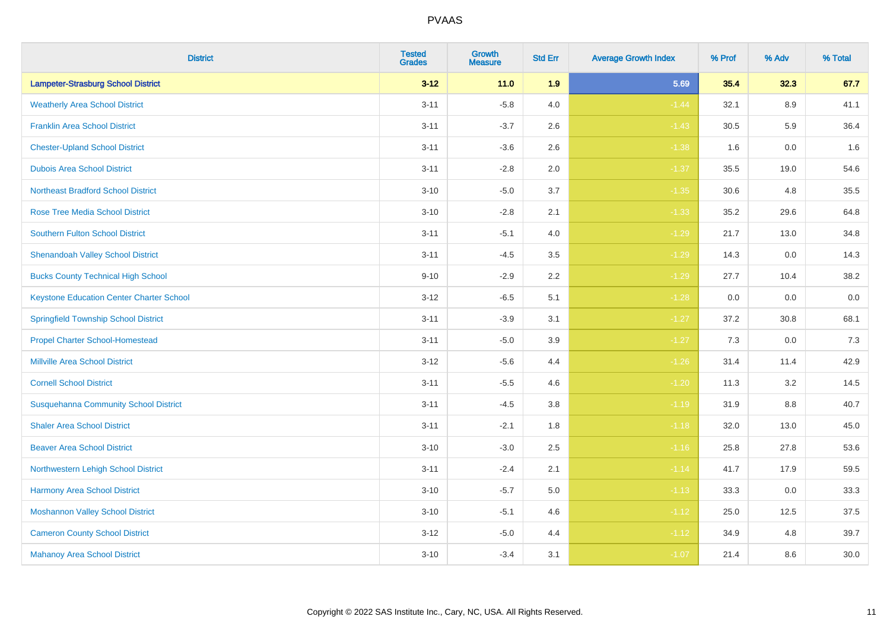| <b>District</b>                                 | <b>Tested</b><br><b>Grades</b> | <b>Growth</b><br><b>Measure</b> | <b>Std Err</b> | <b>Average Growth Index</b> | % Prof | % Adv   | % Total |
|-------------------------------------------------|--------------------------------|---------------------------------|----------------|-----------------------------|--------|---------|---------|
| <b>Lampeter-Strasburg School District</b>       | $3 - 12$                       | 11.0                            | 1.9            | 5.69                        | 35.4   | 32.3    | 67.7    |
| <b>Weatherly Area School District</b>           | $3 - 11$                       | $-5.8$                          | 4.0            | $-1.44$                     | 32.1   | 8.9     | 41.1    |
| <b>Franklin Area School District</b>            | $3 - 11$                       | $-3.7$                          | 2.6            | $-1.43$                     | 30.5   | 5.9     | 36.4    |
| <b>Chester-Upland School District</b>           | $3 - 11$                       | $-3.6$                          | 2.6            | $-1.38$                     | 1.6    | $0.0\,$ | 1.6     |
| <b>Dubois Area School District</b>              | $3 - 11$                       | $-2.8$                          | 2.0            | $-1.37$                     | 35.5   | 19.0    | 54.6    |
| <b>Northeast Bradford School District</b>       | $3 - 10$                       | $-5.0$                          | 3.7            | $-1.35$                     | 30.6   | 4.8     | 35.5    |
| <b>Rose Tree Media School District</b>          | $3 - 10$                       | $-2.8$                          | 2.1            | $-1.33$                     | 35.2   | 29.6    | 64.8    |
| <b>Southern Fulton School District</b>          | $3 - 11$                       | $-5.1$                          | 4.0            | $-1.29$                     | 21.7   | 13.0    | 34.8    |
| <b>Shenandoah Valley School District</b>        | $3 - 11$                       | $-4.5$                          | 3.5            | $-1.29$                     | 14.3   | 0.0     | 14.3    |
| <b>Bucks County Technical High School</b>       | $9 - 10$                       | $-2.9$                          | 2.2            | $-1.29$                     | 27.7   | 10.4    | 38.2    |
| <b>Keystone Education Center Charter School</b> | $3 - 12$                       | $-6.5$                          | 5.1            | $-1.28$                     | 0.0    | 0.0     | $0.0\,$ |
| <b>Springfield Township School District</b>     | $3 - 11$                       | $-3.9$                          | 3.1            | $-1.27$                     | 37.2   | 30.8    | 68.1    |
| <b>Propel Charter School-Homestead</b>          | $3 - 11$                       | $-5.0$                          | 3.9            | $-1.27$                     | 7.3    | 0.0     | $7.3$   |
| <b>Millville Area School District</b>           | $3 - 12$                       | $-5.6$                          | 4.4            | $-1.26$                     | 31.4   | 11.4    | 42.9    |
| <b>Cornell School District</b>                  | $3 - 11$                       | $-5.5$                          | 4.6            | $-1.20$                     | 11.3   | 3.2     | 14.5    |
| <b>Susquehanna Community School District</b>    | $3 - 11$                       | $-4.5$                          | 3.8            | $-1.19$                     | 31.9   | $8.8\,$ | 40.7    |
| <b>Shaler Area School District</b>              | $3 - 11$                       | $-2.1$                          | 1.8            | $-1.18$                     | 32.0   | 13.0    | 45.0    |
| <b>Beaver Area School District</b>              | $3 - 10$                       | $-3.0$                          | 2.5            | $-1.16$                     | 25.8   | 27.8    | 53.6    |
| Northwestern Lehigh School District             | $3 - 11$                       | $-2.4$                          | 2.1            | $-1.14$                     | 41.7   | 17.9    | 59.5    |
| Harmony Area School District                    | $3 - 10$                       | $-5.7$                          | 5.0            | $-1.13$                     | 33.3   | 0.0     | 33.3    |
| <b>Moshannon Valley School District</b>         | $3 - 10$                       | $-5.1$                          | 4.6            | $-1.12$                     | 25.0   | 12.5    | 37.5    |
| <b>Cameron County School District</b>           | $3 - 12$                       | $-5.0$                          | 4.4            | $-1.12$                     | 34.9   | 4.8     | 39.7    |
| <b>Mahanoy Area School District</b>             | $3 - 10$                       | $-3.4$                          | 3.1            | $-1.07$                     | 21.4   | 8.6     | 30.0    |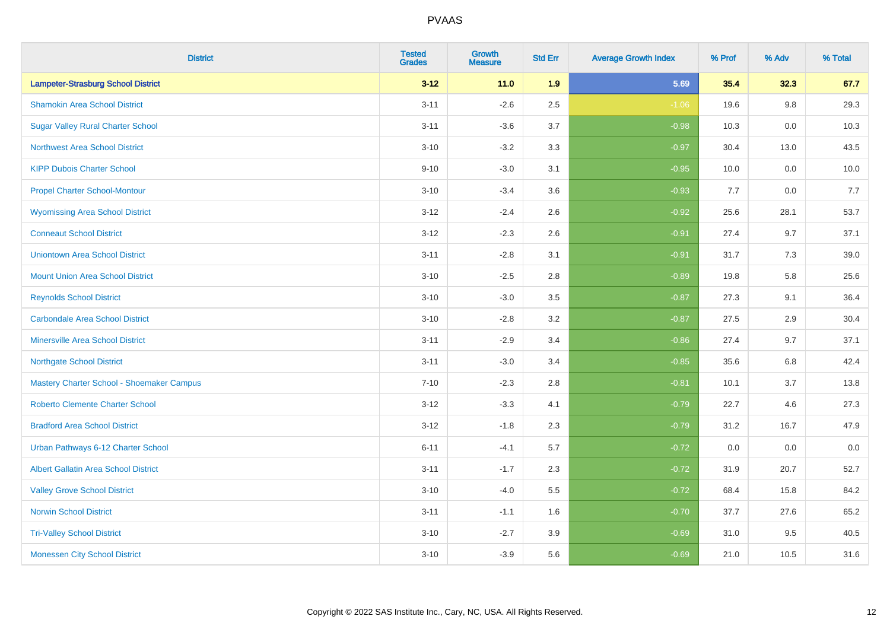| <b>District</b>                             | <b>Tested</b><br><b>Grades</b> | <b>Growth</b><br><b>Measure</b> | <b>Std Err</b> | <b>Average Growth Index</b> | % Prof | % Adv   | % Total |
|---------------------------------------------|--------------------------------|---------------------------------|----------------|-----------------------------|--------|---------|---------|
| <b>Lampeter-Strasburg School District</b>   | $3 - 12$                       | $11.0$                          | 1.9            | 5.69                        | 35.4   | 32.3    | 67.7    |
| <b>Shamokin Area School District</b>        | $3 - 11$                       | $-2.6$                          | 2.5            | $-1.06$                     | 19.6   | $9.8\,$ | 29.3    |
| <b>Sugar Valley Rural Charter School</b>    | $3 - 11$                       | $-3.6$                          | 3.7            | $-0.98$                     | 10.3   | 0.0     | 10.3    |
| <b>Northwest Area School District</b>       | $3 - 10$                       | $-3.2$                          | 3.3            | $-0.97$                     | 30.4   | 13.0    | 43.5    |
| <b>KIPP Dubois Charter School</b>           | $9 - 10$                       | $-3.0$                          | 3.1            | $-0.95$                     | 10.0   | 0.0     | 10.0    |
| <b>Propel Charter School-Montour</b>        | $3 - 10$                       | $-3.4$                          | 3.6            | $-0.93$                     | 7.7    | 0.0     | 7.7     |
| <b>Wyomissing Area School District</b>      | $3 - 12$                       | $-2.4$                          | 2.6            | $-0.92$                     | 25.6   | 28.1    | 53.7    |
| <b>Conneaut School District</b>             | $3 - 12$                       | $-2.3$                          | 2.6            | $-0.91$                     | 27.4   | 9.7     | 37.1    |
| <b>Uniontown Area School District</b>       | $3 - 11$                       | $-2.8$                          | 3.1            | $-0.91$                     | 31.7   | 7.3     | 39.0    |
| <b>Mount Union Area School District</b>     | $3 - 10$                       | $-2.5$                          | 2.8            | $-0.89$                     | 19.8   | 5.8     | 25.6    |
| <b>Reynolds School District</b>             | $3 - 10$                       | $-3.0$                          | 3.5            | $-0.87$                     | 27.3   | 9.1     | 36.4    |
| <b>Carbondale Area School District</b>      | $3 - 10$                       | $-2.8$                          | 3.2            | $-0.87$                     | 27.5   | 2.9     | 30.4    |
| <b>Minersville Area School District</b>     | $3 - 11$                       | $-2.9$                          | 3.4            | $-0.86$                     | 27.4   | 9.7     | 37.1    |
| <b>Northgate School District</b>            | $3 - 11$                       | $-3.0$                          | 3.4            | $-0.85$                     | 35.6   | 6.8     | 42.4    |
| Mastery Charter School - Shoemaker Campus   | $7 - 10$                       | $-2.3$                          | 2.8            | $-0.81$                     | 10.1   | 3.7     | 13.8    |
| <b>Roberto Clemente Charter School</b>      | $3 - 12$                       | $-3.3$                          | 4.1            | $-0.79$                     | 22.7   | 4.6     | 27.3    |
| <b>Bradford Area School District</b>        | $3 - 12$                       | $-1.8$                          | 2.3            | $-0.79$                     | 31.2   | 16.7    | 47.9    |
| Urban Pathways 6-12 Charter School          | $6 - 11$                       | $-4.1$                          | 5.7            | $-0.72$                     | 0.0    | 0.0     | $0.0\,$ |
| <b>Albert Gallatin Area School District</b> | $3 - 11$                       | $-1.7$                          | 2.3            | $-0.72$                     | 31.9   | 20.7    | 52.7    |
| <b>Valley Grove School District</b>         | $3 - 10$                       | $-4.0$                          | 5.5            | $-0.72$                     | 68.4   | 15.8    | 84.2    |
| <b>Norwin School District</b>               | $3 - 11$                       | $-1.1$                          | 1.6            | $-0.70$                     | 37.7   | 27.6    | 65.2    |
| <b>Tri-Valley School District</b>           | $3 - 10$                       | $-2.7$                          | 3.9            | $-0.69$                     | 31.0   | 9.5     | 40.5    |
| <b>Monessen City School District</b>        | $3 - 10$                       | $-3.9$                          | 5.6            | $-0.69$                     | 21.0   | 10.5    | 31.6    |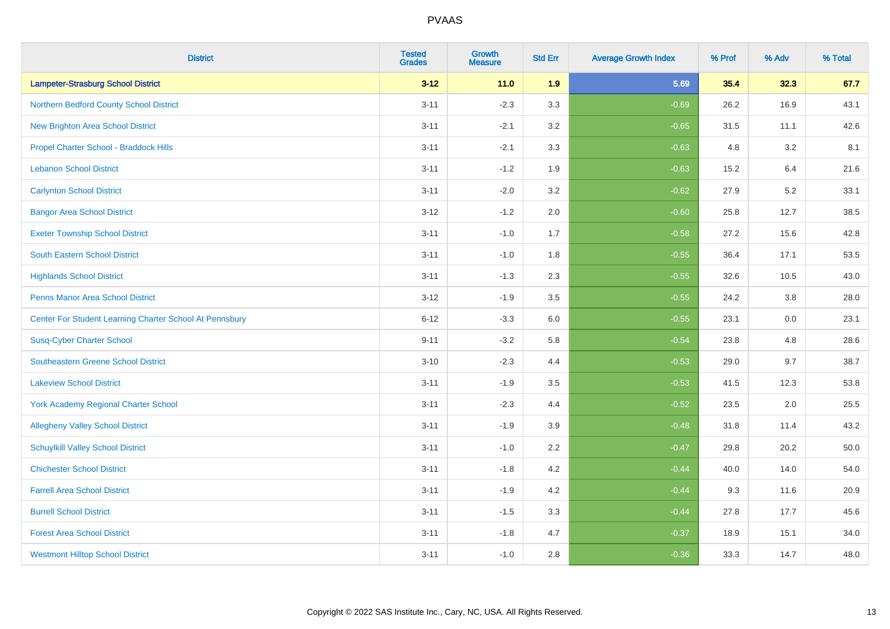| <b>District</b>                                         | <b>Tested</b><br><b>Grades</b> | <b>Growth</b><br><b>Measure</b> | <b>Std Err</b> | <b>Average Growth Index</b> | % Prof | % Adv | % Total |
|---------------------------------------------------------|--------------------------------|---------------------------------|----------------|-----------------------------|--------|-------|---------|
| <b>Lampeter-Strasburg School District</b>               | $3 - 12$                       | $11.0$                          | 1.9            | 5.69                        | 35.4   | 32.3  | 67.7    |
| Northern Bedford County School District                 | $3 - 11$                       | $-2.3$                          | 3.3            | $-0.69$                     | 26.2   | 16.9  | 43.1    |
| <b>New Brighton Area School District</b>                | $3 - 11$                       | $-2.1$                          | 3.2            | $-0.65$                     | 31.5   | 11.1  | 42.6    |
| Propel Charter School - Braddock Hills                  | $3 - 11$                       | $-2.1$                          | 3.3            | $-0.63$                     | 4.8    | 3.2   | 8.1     |
| <b>Lebanon School District</b>                          | $3 - 11$                       | $-1.2$                          | 1.9            | $-0.63$                     | 15.2   | 6.4   | 21.6    |
| <b>Carlynton School District</b>                        | $3 - 11$                       | $-2.0$                          | 3.2            | $-0.62$                     | 27.9   | 5.2   | 33.1    |
| <b>Bangor Area School District</b>                      | $3 - 12$                       | $-1.2$                          | 2.0            | $-0.60$                     | 25.8   | 12.7  | 38.5    |
| <b>Exeter Township School District</b>                  | $3 - 11$                       | $-1.0$                          | 1.7            | $-0.58$                     | 27.2   | 15.6  | 42.8    |
| <b>South Eastern School District</b>                    | $3 - 11$                       | $-1.0$                          | 1.8            | $-0.55$                     | 36.4   | 17.1  | 53.5    |
| <b>Highlands School District</b>                        | $3 - 11$                       | $-1.3$                          | 2.3            | $-0.55$                     | 32.6   | 10.5  | 43.0    |
| <b>Penns Manor Area School District</b>                 | $3 - 12$                       | $-1.9$                          | 3.5            | $-0.55$                     | 24.2   | 3.8   | 28.0    |
| Center For Student Learning Charter School At Pennsbury | $6 - 12$                       | $-3.3$                          | 6.0            | $-0.55$                     | 23.1   | 0.0   | 23.1    |
| <b>Susq-Cyber Charter School</b>                        | $9 - 11$                       | $-3.2$                          | 5.8            | $-0.54$                     | 23.8   | 4.8   | 28.6    |
| Southeastern Greene School District                     | $3 - 10$                       | $-2.3$                          | 4.4            | $-0.53$                     | 29.0   | 9.7   | 38.7    |
| <b>Lakeview School District</b>                         | $3 - 11$                       | $-1.9$                          | 3.5            | $-0.53$                     | 41.5   | 12.3  | 53.8    |
| <b>York Academy Regional Charter School</b>             | $3 - 11$                       | $-2.3$                          | 4.4            | $-0.52$                     | 23.5   | 2.0   | 25.5    |
| <b>Allegheny Valley School District</b>                 | $3 - 11$                       | $-1.9$                          | 3.9            | $-0.48$                     | 31.8   | 11.4  | 43.2    |
| <b>Schuylkill Valley School District</b>                | $3 - 11$                       | $-1.0$                          | 2.2            | $-0.47$                     | 29.8   | 20.2  | 50.0    |
| <b>Chichester School District</b>                       | $3 - 11$                       | $-1.8$                          | 4.2            | $-0.44$                     | 40.0   | 14.0  | 54.0    |
| <b>Farrell Area School District</b>                     | $3 - 11$                       | $-1.9$                          | 4.2            | $-0.44$                     | 9.3    | 11.6  | 20.9    |
| <b>Burrell School District</b>                          | $3 - 11$                       | $-1.5$                          | 3.3            | $-0.44$                     | 27.8   | 17.7  | 45.6    |
| <b>Forest Area School District</b>                      | $3 - 11$                       | $-1.8$                          | 4.7            | $-0.37$                     | 18.9   | 15.1  | 34.0    |
| <b>Westmont Hilltop School District</b>                 | $3 - 11$                       | $-1.0$                          | 2.8            | $-0.36$                     | 33.3   | 14.7  | 48.0    |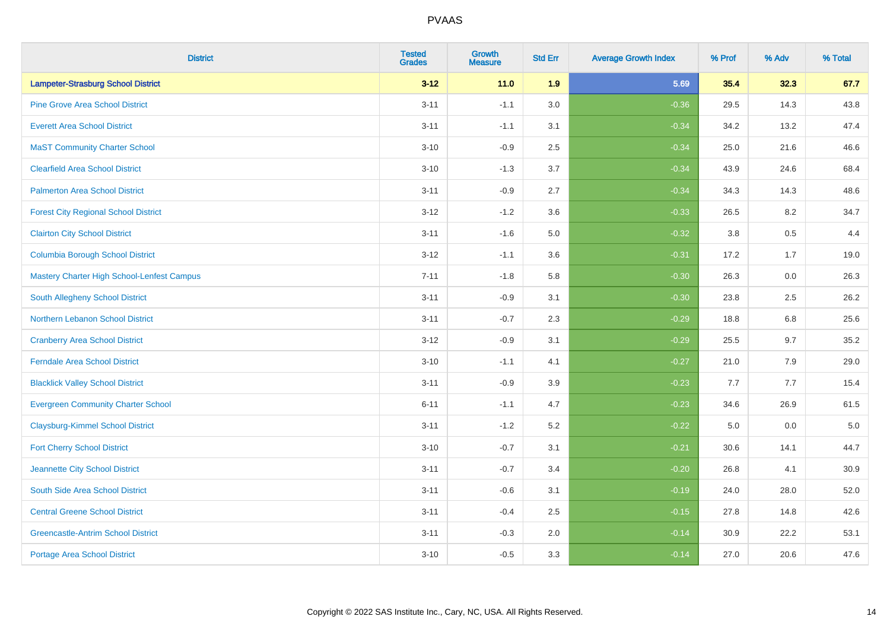| <b>District</b>                             | <b>Tested</b><br><b>Grades</b> | Growth<br><b>Measure</b> | <b>Std Err</b> | <b>Average Growth Index</b> | % Prof | % Adv | % Total |
|---------------------------------------------|--------------------------------|--------------------------|----------------|-----------------------------|--------|-------|---------|
| <b>Lampeter-Strasburg School District</b>   | $3 - 12$                       | 11.0                     | 1.9            | 5.69                        | 35.4   | 32.3  | 67.7    |
| <b>Pine Grove Area School District</b>      | $3 - 11$                       | $-1.1$                   | 3.0            | $-0.36$                     | 29.5   | 14.3  | 43.8    |
| <b>Everett Area School District</b>         | $3 - 11$                       | $-1.1$                   | 3.1            | $-0.34$                     | 34.2   | 13.2  | 47.4    |
| <b>MaST Community Charter School</b>        | $3 - 10$                       | $-0.9$                   | 2.5            | $-0.34$                     | 25.0   | 21.6  | 46.6    |
| <b>Clearfield Area School District</b>      | $3 - 10$                       | $-1.3$                   | 3.7            | $-0.34$                     | 43.9   | 24.6  | 68.4    |
| <b>Palmerton Area School District</b>       | $3 - 11$                       | $-0.9$                   | 2.7            | $-0.34$                     | 34.3   | 14.3  | 48.6    |
| <b>Forest City Regional School District</b> | $3 - 12$                       | $-1.2$                   | 3.6            | $-0.33$                     | 26.5   | 8.2   | 34.7    |
| <b>Clairton City School District</b>        | $3 - 11$                       | $-1.6$                   | 5.0            | $-0.32$                     | 3.8    | 0.5   | 4.4     |
| <b>Columbia Borough School District</b>     | $3 - 12$                       | $-1.1$                   | 3.6            | $-0.31$                     | 17.2   | 1.7   | 19.0    |
| Mastery Charter High School-Lenfest Campus  | $7 - 11$                       | $-1.8$                   | 5.8            | $-0.30$                     | 26.3   | 0.0   | 26.3    |
| <b>South Allegheny School District</b>      | $3 - 11$                       | $-0.9$                   | 3.1            | $-0.30$                     | 23.8   | 2.5   | 26.2    |
| Northern Lebanon School District            | $3 - 11$                       | $-0.7$                   | 2.3            | $-0.29$                     | 18.8   | 6.8   | 25.6    |
| <b>Cranberry Area School District</b>       | $3 - 12$                       | $-0.9$                   | 3.1            | $-0.29$                     | 25.5   | 9.7   | 35.2    |
| <b>Ferndale Area School District</b>        | $3 - 10$                       | $-1.1$                   | 4.1            | $-0.27$                     | 21.0   | 7.9   | 29.0    |
| <b>Blacklick Valley School District</b>     | $3 - 11$                       | $-0.9$                   | 3.9            | $-0.23$                     | 7.7    | 7.7   | 15.4    |
| <b>Evergreen Community Charter School</b>   | $6 - 11$                       | $-1.1$                   | 4.7            | $-0.23$                     | 34.6   | 26.9  | 61.5    |
| <b>Claysburg-Kimmel School District</b>     | $3 - 11$                       | $-1.2$                   | 5.2            | $-0.22$                     | 5.0    | 0.0   | $5.0$   |
| <b>Fort Cherry School District</b>          | $3 - 10$                       | $-0.7$                   | 3.1            | $-0.21$                     | 30.6   | 14.1  | 44.7    |
| Jeannette City School District              | $3 - 11$                       | $-0.7$                   | 3.4            | $-0.20$                     | 26.8   | 4.1   | 30.9    |
| South Side Area School District             | $3 - 11$                       | $-0.6$                   | 3.1            | $-0.19$                     | 24.0   | 28.0  | 52.0    |
| <b>Central Greene School District</b>       | $3 - 11$                       | $-0.4$                   | 2.5            | $-0.15$                     | 27.8   | 14.8  | 42.6    |
| <b>Greencastle-Antrim School District</b>   | $3 - 11$                       | $-0.3$                   | 2.0            | $-0.14$                     | 30.9   | 22.2  | 53.1    |
| <b>Portage Area School District</b>         | $3 - 10$                       | $-0.5$                   | 3.3            | $-0.14$                     | 27.0   | 20.6  | 47.6    |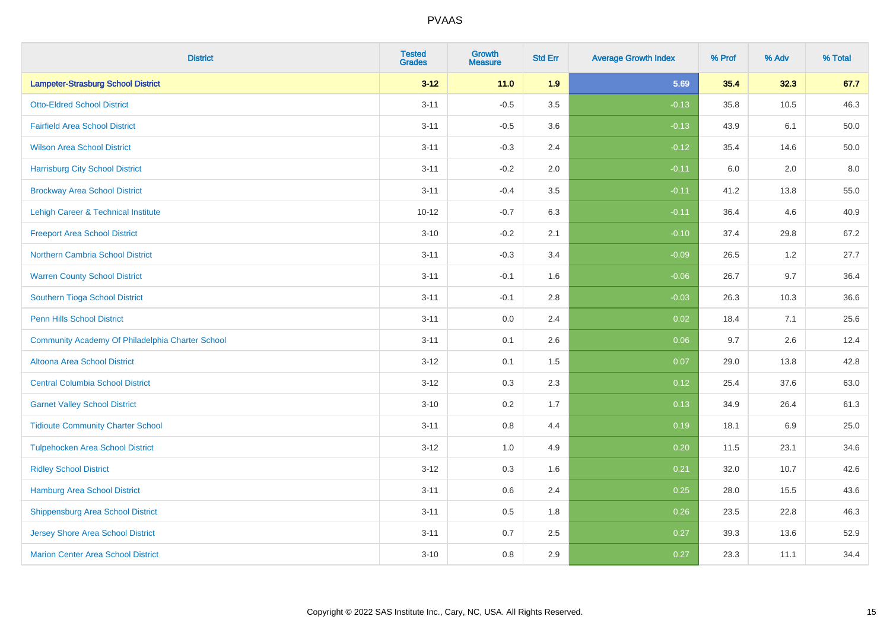| <b>District</b>                                  | <b>Tested</b><br><b>Grades</b> | <b>Growth</b><br><b>Measure</b> | <b>Std Err</b> | <b>Average Growth Index</b> | % Prof | % Adv   | % Total |
|--------------------------------------------------|--------------------------------|---------------------------------|----------------|-----------------------------|--------|---------|---------|
| <b>Lampeter-Strasburg School District</b>        | $3 - 12$                       | 11.0                            | 1.9            | 5.69                        | 35.4   | 32.3    | 67.7    |
| <b>Otto-Eldred School District</b>               | $3 - 11$                       | $-0.5$                          | 3.5            | $-0.13$                     | 35.8   | 10.5    | 46.3    |
| <b>Fairfield Area School District</b>            | $3 - 11$                       | $-0.5$                          | 3.6            | $-0.13$                     | 43.9   | 6.1     | 50.0    |
| <b>Wilson Area School District</b>               | $3 - 11$                       | $-0.3$                          | 2.4            | $-0.12$                     | 35.4   | 14.6    | 50.0    |
| <b>Harrisburg City School District</b>           | $3 - 11$                       | $-0.2$                          | 2.0            | $-0.11$                     | 6.0    | 2.0     | 8.0     |
| <b>Brockway Area School District</b>             | $3 - 11$                       | $-0.4$                          | 3.5            | $-0.11$                     | 41.2   | 13.8    | 55.0    |
| Lehigh Career & Technical Institute              | $10 - 12$                      | $-0.7$                          | 6.3            | $-0.11$                     | 36.4   | 4.6     | 40.9    |
| <b>Freeport Area School District</b>             | $3 - 10$                       | $-0.2$                          | 2.1            | $-0.10$                     | 37.4   | 29.8    | 67.2    |
| <b>Northern Cambria School District</b>          | $3 - 11$                       | $-0.3$                          | 3.4            | $-0.09$                     | 26.5   | 1.2     | 27.7    |
| <b>Warren County School District</b>             | $3 - 11$                       | $-0.1$                          | 1.6            | $-0.06$                     | 26.7   | 9.7     | 36.4    |
| Southern Tioga School District                   | $3 - 11$                       | $-0.1$                          | 2.8            | $-0.03$                     | 26.3   | 10.3    | 36.6    |
| <b>Penn Hills School District</b>                | $3 - 11$                       | 0.0                             | 2.4            | 0.02                        | 18.4   | 7.1     | 25.6    |
| Community Academy Of Philadelphia Charter School | $3 - 11$                       | 0.1                             | 2.6            | 0.06                        | 9.7    | $2.6\,$ | 12.4    |
| Altoona Area School District                     | $3 - 12$                       | 0.1                             | 1.5            | 0.07                        | 29.0   | 13.8    | 42.8    |
| <b>Central Columbia School District</b>          | $3 - 12$                       | 0.3                             | 2.3            | 0.12                        | 25.4   | 37.6    | 63.0    |
| <b>Garnet Valley School District</b>             | $3 - 10$                       | 0.2                             | 1.7            | 0.13                        | 34.9   | 26.4    | 61.3    |
| <b>Tidioute Community Charter School</b>         | $3 - 11$                       | 0.8                             | 4.4            | 0.19                        | 18.1   | 6.9     | 25.0    |
| <b>Tulpehocken Area School District</b>          | $3 - 12$                       | 1.0                             | 4.9            | 0.20                        | 11.5   | 23.1    | 34.6    |
| <b>Ridley School District</b>                    | $3 - 12$                       | 0.3                             | 1.6            | 0.21                        | 32.0   | 10.7    | 42.6    |
| Hamburg Area School District                     | $3 - 11$                       | 0.6                             | 2.4            | 0.25                        | 28.0   | 15.5    | 43.6    |
| <b>Shippensburg Area School District</b>         | $3 - 11$                       | 0.5                             | 1.8            | 0.26                        | 23.5   | 22.8    | 46.3    |
| <b>Jersey Shore Area School District</b>         | $3 - 11$                       | 0.7                             | 2.5            | 0.27                        | 39.3   | 13.6    | 52.9    |
| <b>Marion Center Area School District</b>        | $3 - 10$                       | 0.8                             | 2.9            | 0.27                        | 23.3   | 11.1    | 34.4    |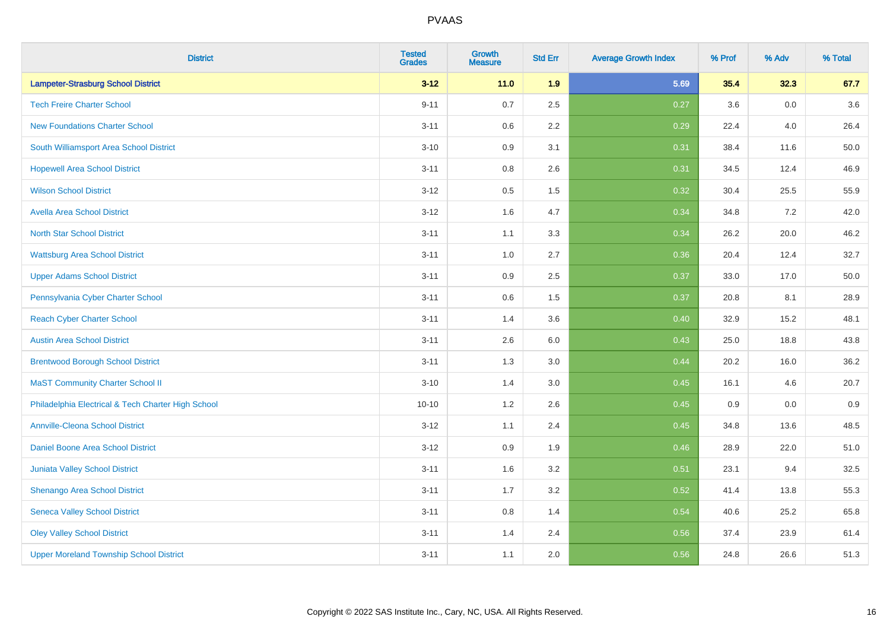| <b>District</b>                                    | <b>Tested</b><br><b>Grades</b> | <b>Growth</b><br><b>Measure</b> | <b>Std Err</b> | <b>Average Growth Index</b> | % Prof | % Adv | % Total |
|----------------------------------------------------|--------------------------------|---------------------------------|----------------|-----------------------------|--------|-------|---------|
| <b>Lampeter-Strasburg School District</b>          | $3 - 12$                       | 11.0                            | 1.9            | 5.69                        | 35.4   | 32.3  | 67.7    |
| <b>Tech Freire Charter School</b>                  | $9 - 11$                       | 0.7                             | 2.5            | 0.27                        | 3.6    | 0.0   | 3.6     |
| <b>New Foundations Charter School</b>              | $3 - 11$                       | 0.6                             | 2.2            | 0.29                        | 22.4   | 4.0   | 26.4    |
| South Williamsport Area School District            | $3 - 10$                       | 0.9                             | 3.1            | 0.31                        | 38.4   | 11.6  | 50.0    |
| <b>Hopewell Area School District</b>               | $3 - 11$                       | 0.8                             | 2.6            | 0.31                        | 34.5   | 12.4  | 46.9    |
| <b>Wilson School District</b>                      | $3 - 12$                       | $0.5\,$                         | 1.5            | 0.32                        | 30.4   | 25.5  | 55.9    |
| <b>Avella Area School District</b>                 | $3 - 12$                       | 1.6                             | 4.7            | 0.34                        | 34.8   | 7.2   | 42.0    |
| <b>North Star School District</b>                  | $3 - 11$                       | 1.1                             | 3.3            | 0.34                        | 26.2   | 20.0  | 46.2    |
| <b>Wattsburg Area School District</b>              | $3 - 11$                       | 1.0                             | 2.7            | 0.36                        | 20.4   | 12.4  | 32.7    |
| <b>Upper Adams School District</b>                 | $3 - 11$                       | $0.9\,$                         | 2.5            | 0.37                        | 33.0   | 17.0  | 50.0    |
| Pennsylvania Cyber Charter School                  | $3 - 11$                       | 0.6                             | 1.5            | 0.37                        | 20.8   | 8.1   | 28.9    |
| <b>Reach Cyber Charter School</b>                  | $3 - 11$                       | 1.4                             | 3.6            | 0.40                        | 32.9   | 15.2  | 48.1    |
| <b>Austin Area School District</b>                 | $3 - 11$                       | 2.6                             | 6.0            | 0.43                        | 25.0   | 18.8  | 43.8    |
| <b>Brentwood Borough School District</b>           | $3 - 11$                       | 1.3                             | 3.0            | 0.44                        | 20.2   | 16.0  | 36.2    |
| <b>MaST Community Charter School II</b>            | $3 - 10$                       | 1.4                             | 3.0            | 0.45                        | 16.1   | 4.6   | 20.7    |
| Philadelphia Electrical & Tech Charter High School | $10 - 10$                      | 1.2                             | 2.6            | 0.45                        | 0.9    | 0.0   | 0.9     |
| <b>Annville-Cleona School District</b>             | $3 - 12$                       | 1.1                             | 2.4            | 0.45                        | 34.8   | 13.6  | 48.5    |
| Daniel Boone Area School District                  | $3 - 12$                       | 0.9                             | 1.9            | 0.46                        | 28.9   | 22.0  | 51.0    |
| Juniata Valley School District                     | $3 - 11$                       | 1.6                             | 3.2            | 0.51                        | 23.1   | 9.4   | 32.5    |
| Shenango Area School District                      | $3 - 11$                       | 1.7                             | 3.2            | 0.52                        | 41.4   | 13.8  | 55.3    |
| <b>Seneca Valley School District</b>               | $3 - 11$                       | $0.8\,$                         | 1.4            | 0.54                        | 40.6   | 25.2  | 65.8    |
| <b>Oley Valley School District</b>                 | $3 - 11$                       | 1.4                             | 2.4            | 0.56                        | 37.4   | 23.9  | 61.4    |
| <b>Upper Moreland Township School District</b>     | $3 - 11$                       | 1.1                             | 2.0            | 0.56                        | 24.8   | 26.6  | 51.3    |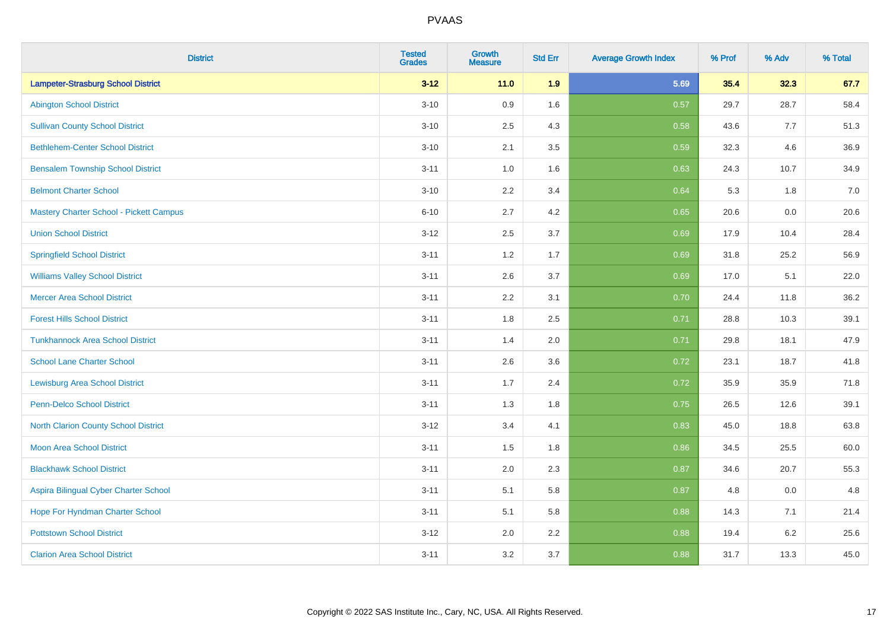| <b>District</b>                                | <b>Tested</b><br><b>Grades</b> | <b>Growth</b><br><b>Measure</b> | <b>Std Err</b> | <b>Average Growth Index</b> | % Prof | % Adv   | % Total |
|------------------------------------------------|--------------------------------|---------------------------------|----------------|-----------------------------|--------|---------|---------|
| <b>Lampeter-Strasburg School District</b>      | $3 - 12$                       | $11.0$                          | 1.9            | 5.69                        | 35.4   | 32.3    | 67.7    |
| <b>Abington School District</b>                | $3 - 10$                       | 0.9                             | 1.6            | 0.57                        | 29.7   | 28.7    | 58.4    |
| <b>Sullivan County School District</b>         | $3 - 10$                       | 2.5                             | 4.3            | 0.58                        | 43.6   | 7.7     | 51.3    |
| <b>Bethlehem-Center School District</b>        | $3 - 10$                       | 2.1                             | 3.5            | 0.59                        | 32.3   | 4.6     | 36.9    |
| <b>Bensalem Township School District</b>       | $3 - 11$                       | 1.0                             | 1.6            | 0.63                        | 24.3   | 10.7    | 34.9    |
| <b>Belmont Charter School</b>                  | $3 - 10$                       | 2.2                             | 3.4            | 0.64                        | 5.3    | 1.8     | 7.0     |
| <b>Mastery Charter School - Pickett Campus</b> | $6 - 10$                       | 2.7                             | 4.2            | 0.65                        | 20.6   | 0.0     | 20.6    |
| <b>Union School District</b>                   | $3 - 12$                       | 2.5                             | 3.7            | 0.69                        | 17.9   | 10.4    | 28.4    |
| <b>Springfield School District</b>             | $3 - 11$                       | 1.2                             | 1.7            | 0.69                        | 31.8   | 25.2    | 56.9    |
| <b>Williams Valley School District</b>         | $3 - 11$                       | 2.6                             | 3.7            | 0.69                        | 17.0   | 5.1     | 22.0    |
| <b>Mercer Area School District</b>             | $3 - 11$                       | 2.2                             | 3.1            | 0.70                        | 24.4   | 11.8    | 36.2    |
| <b>Forest Hills School District</b>            | $3 - 11$                       | 1.8                             | 2.5            | 0.71                        | 28.8   | 10.3    | 39.1    |
| <b>Tunkhannock Area School District</b>        | $3 - 11$                       | 1.4                             | 2.0            | 0.71                        | 29.8   | 18.1    | 47.9    |
| <b>School Lane Charter School</b>              | $3 - 11$                       | 2.6                             | 3.6            | 0.72                        | 23.1   | 18.7    | 41.8    |
| <b>Lewisburg Area School District</b>          | $3 - 11$                       | 1.7                             | 2.4            | 0.72                        | 35.9   | 35.9    | 71.8    |
| Penn-Delco School District                     | $3 - 11$                       | 1.3                             | 1.8            | 0.75                        | 26.5   | 12.6    | 39.1    |
| <b>North Clarion County School District</b>    | $3 - 12$                       | 3.4                             | 4.1            | 0.83                        | 45.0   | 18.8    | 63.8    |
| <b>Moon Area School District</b>               | $3 - 11$                       | 1.5                             | 1.8            | 0.86                        | 34.5   | 25.5    | 60.0    |
| <b>Blackhawk School District</b>               | $3 - 11$                       | 2.0                             | 2.3            | 0.87                        | 34.6   | 20.7    | 55.3    |
| Aspira Bilingual Cyber Charter School          | $3 - 11$                       | 5.1                             | 5.8            | 0.87                        | 4.8    | 0.0     | 4.8     |
| Hope For Hyndman Charter School                | $3 - 11$                       | 5.1                             | 5.8            | 0.88                        | 14.3   | 7.1     | 21.4    |
| <b>Pottstown School District</b>               | $3 - 12$                       | 2.0                             | 2.2            | 0.88                        | 19.4   | $6.2\,$ | 25.6    |
| <b>Clarion Area School District</b>            | $3 - 11$                       | 3.2                             | 3.7            | 0.88                        | 31.7   | 13.3    | 45.0    |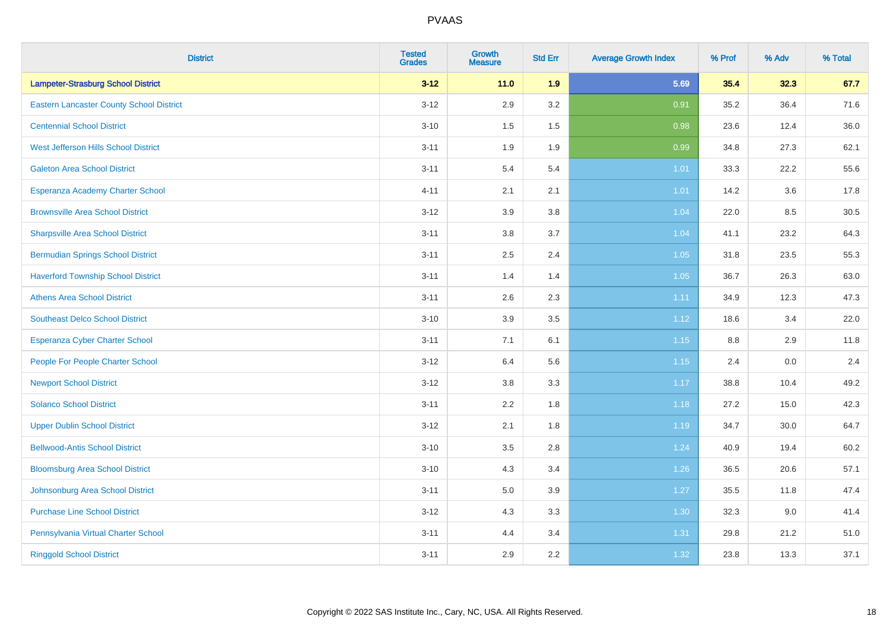| <b>District</b>                                 | <b>Tested</b><br><b>Grades</b> | <b>Growth</b><br><b>Measure</b> | <b>Std Err</b> | <b>Average Growth Index</b> | % Prof | % Adv | % Total |
|-------------------------------------------------|--------------------------------|---------------------------------|----------------|-----------------------------|--------|-------|---------|
| <b>Lampeter-Strasburg School District</b>       | $3 - 12$                       | 11.0                            | 1.9            | 5.69                        | 35.4   | 32.3  | 67.7    |
| <b>Eastern Lancaster County School District</b> | $3 - 12$                       | 2.9                             | 3.2            | 0.91                        | 35.2   | 36.4  | 71.6    |
| <b>Centennial School District</b>               | $3 - 10$                       | 1.5                             | 1.5            | 0.98                        | 23.6   | 12.4  | 36.0    |
| West Jefferson Hills School District            | $3 - 11$                       | 1.9                             | 1.9            | 0.99                        | 34.8   | 27.3  | 62.1    |
| <b>Galeton Area School District</b>             | $3 - 11$                       | 5.4                             | 5.4            | 1.01                        | 33.3   | 22.2  | 55.6    |
| Esperanza Academy Charter School                | $4 - 11$                       | 2.1                             | 2.1            | 1.01                        | 14.2   | 3.6   | 17.8    |
| <b>Brownsville Area School District</b>         | $3 - 12$                       | 3.9                             | 3.8            | 1.04                        | 22.0   | 8.5   | 30.5    |
| <b>Sharpsville Area School District</b>         | $3 - 11$                       | 3.8                             | 3.7            | 1.04                        | 41.1   | 23.2  | 64.3    |
| <b>Bermudian Springs School District</b>        | $3 - 11$                       | 2.5                             | 2.4            | 1.05                        | 31.8   | 23.5  | 55.3    |
| <b>Haverford Township School District</b>       | $3 - 11$                       | 1.4                             | 1.4            | 1.05                        | 36.7   | 26.3  | 63.0    |
| <b>Athens Area School District</b>              | $3 - 11$                       | 2.6                             | 2.3            | 1.11                        | 34.9   | 12.3  | 47.3    |
| <b>Southeast Delco School District</b>          | $3 - 10$                       | 3.9                             | 3.5            | 1.12                        | 18.6   | 3.4   | 22.0    |
| <b>Esperanza Cyber Charter School</b>           | $3 - 11$                       | 7.1                             | 6.1            | 1.15                        | 8.8    | 2.9   | 11.8    |
| People For People Charter School                | $3 - 12$                       | 6.4                             | 5.6            | 1.15                        | 2.4    | 0.0   | 2.4     |
| <b>Newport School District</b>                  | $3 - 12$                       | 3.8                             | 3.3            | 1.17                        | 38.8   | 10.4  | 49.2    |
| <b>Solanco School District</b>                  | $3 - 11$                       | 2.2                             | 1.8            | 1.18                        | 27.2   | 15.0  | 42.3    |
| <b>Upper Dublin School District</b>             | $3 - 12$                       | 2.1                             | 1.8            | 1.19                        | 34.7   | 30.0  | 64.7    |
| <b>Bellwood-Antis School District</b>           | $3 - 10$                       | 3.5                             | 2.8            | 1.24                        | 40.9   | 19.4  | 60.2    |
| <b>Bloomsburg Area School District</b>          | $3 - 10$                       | 4.3                             | 3.4            | 1.26                        | 36.5   | 20.6  | 57.1    |
| Johnsonburg Area School District                | $3 - 11$                       | 5.0                             | 3.9            | 1.27                        | 35.5   | 11.8  | 47.4    |
| <b>Purchase Line School District</b>            | $3 - 12$                       | 4.3                             | 3.3            | 1.30                        | 32.3   | 9.0   | 41.4    |
| Pennsylvania Virtual Charter School             | $3 - 11$                       | 4.4                             | 3.4            | 1.31                        | 29.8   | 21.2  | 51.0    |
| <b>Ringgold School District</b>                 | $3 - 11$                       | 2.9                             | 2.2            | 1.32                        | 23.8   | 13.3  | 37.1    |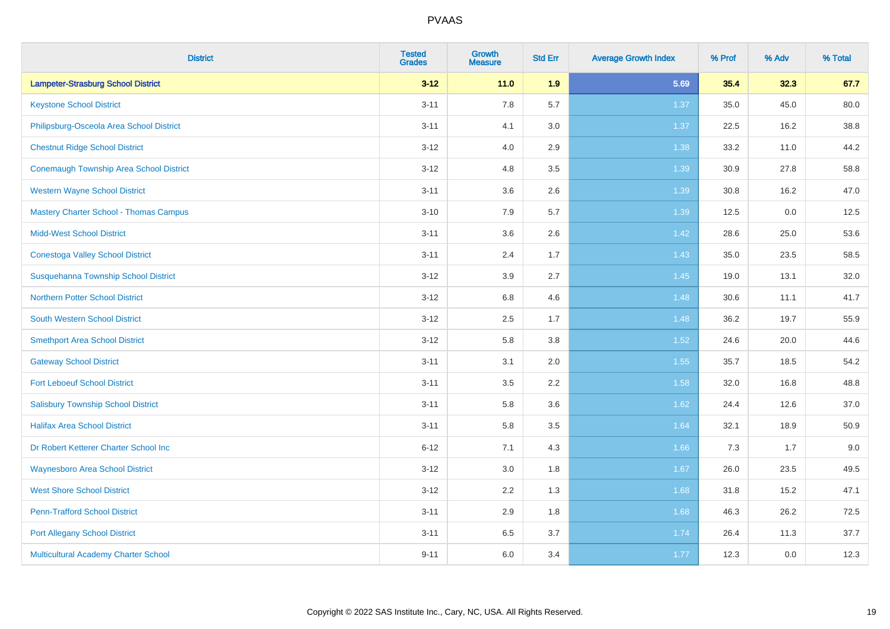| <b>District</b>                                | <b>Tested</b><br><b>Grades</b> | <b>Growth</b><br><b>Measure</b> | <b>Std Err</b> | <b>Average Growth Index</b> | % Prof | % Adv | % Total |
|------------------------------------------------|--------------------------------|---------------------------------|----------------|-----------------------------|--------|-------|---------|
| <b>Lampeter-Strasburg School District</b>      | $3 - 12$                       | 11.0                            | 1.9            | 5.69                        | 35.4   | 32.3  | 67.7    |
| <b>Keystone School District</b>                | $3 - 11$                       | 7.8                             | 5.7            | 1.37                        | 35.0   | 45.0  | 80.0    |
| Philipsburg-Osceola Area School District       | $3 - 11$                       | 4.1                             | 3.0            | 1.37                        | 22.5   | 16.2  | 38.8    |
| <b>Chestnut Ridge School District</b>          | $3 - 12$                       | 4.0                             | 2.9            | 1.38                        | 33.2   | 11.0  | 44.2    |
| <b>Conemaugh Township Area School District</b> | $3 - 12$                       | 4.8                             | 3.5            | 1.39                        | 30.9   | 27.8  | 58.8    |
| <b>Western Wayne School District</b>           | $3 - 11$                       | 3.6                             | 2.6            | 1.39                        | 30.8   | 16.2  | 47.0    |
| <b>Mastery Charter School - Thomas Campus</b>  | $3 - 10$                       | 7.9                             | 5.7            | 1.39                        | 12.5   | 0.0   | 12.5    |
| <b>Midd-West School District</b>               | $3 - 11$                       | 3.6                             | 2.6            | 1.42                        | 28.6   | 25.0  | 53.6    |
| <b>Conestoga Valley School District</b>        | $3 - 11$                       | 2.4                             | 1.7            | 1.43                        | 35.0   | 23.5  | 58.5    |
| Susquehanna Township School District           | $3 - 12$                       | 3.9                             | 2.7            | 1.45                        | 19.0   | 13.1  | 32.0    |
| <b>Northern Potter School District</b>         | $3 - 12$                       | 6.8                             | 4.6            | 1.48                        | 30.6   | 11.1  | 41.7    |
| <b>South Western School District</b>           | $3 - 12$                       | 2.5                             | 1.7            | 1.48                        | 36.2   | 19.7  | 55.9    |
| <b>Smethport Area School District</b>          | $3 - 12$                       | 5.8                             | 3.8            | 1.52                        | 24.6   | 20.0  | 44.6    |
| <b>Gateway School District</b>                 | $3 - 11$                       | 3.1                             | 2.0            | 1.55                        | 35.7   | 18.5  | 54.2    |
| <b>Fort Leboeuf School District</b>            | $3 - 11$                       | 3.5                             | 2.2            | 1.58                        | 32.0   | 16.8  | 48.8    |
| <b>Salisbury Township School District</b>      | $3 - 11$                       | 5.8                             | 3.6            | 1.62                        | 24.4   | 12.6  | 37.0    |
| <b>Halifax Area School District</b>            | $3 - 11$                       | 5.8                             | 3.5            | 1.64                        | 32.1   | 18.9  | 50.9    |
| Dr Robert Ketterer Charter School Inc          | $6 - 12$                       | 7.1                             | 4.3            | 1.66                        | 7.3    | 1.7   | 9.0     |
| <b>Waynesboro Area School District</b>         | $3 - 12$                       | 3.0                             | 1.8            | 1.67                        | 26.0   | 23.5  | 49.5    |
| <b>West Shore School District</b>              | $3 - 12$                       | 2.2                             | 1.3            | 1.68                        | 31.8   | 15.2  | 47.1    |
| <b>Penn-Trafford School District</b>           | $3 - 11$                       | 2.9                             | 1.8            | 1.68                        | 46.3   | 26.2  | 72.5    |
| <b>Port Allegany School District</b>           | $3 - 11$                       | 6.5                             | 3.7            | 1.74                        | 26.4   | 11.3  | 37.7    |
| <b>Multicultural Academy Charter School</b>    | $9 - 11$                       | 6.0                             | 3.4            | 1.77                        | 12.3   | 0.0   | 12.3    |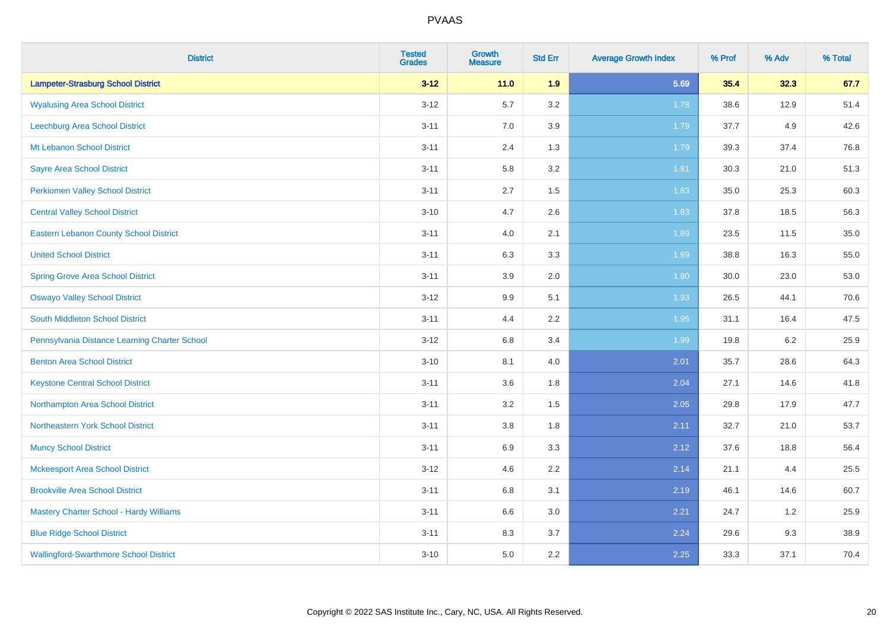| <b>District</b>                               | <b>Tested</b><br><b>Grades</b> | <b>Growth</b><br><b>Measure</b> | <b>Std Err</b> | <b>Average Growth Index</b> | % Prof | % Adv | % Total |
|-----------------------------------------------|--------------------------------|---------------------------------|----------------|-----------------------------|--------|-------|---------|
| <b>Lampeter-Strasburg School District</b>     | $3 - 12$                       | 11.0                            | 1.9            | 5.69                        | 35.4   | 32.3  | 67.7    |
| <b>Wyalusing Area School District</b>         | $3 - 12$                       | 5.7                             | 3.2            | 1.78                        | 38.6   | 12.9  | 51.4    |
| Leechburg Area School District                | $3 - 11$                       | 7.0                             | 3.9            | 1.79                        | 37.7   | 4.9   | 42.6    |
| Mt Lebanon School District                    | $3 - 11$                       | 2.4                             | 1.3            | 1.79                        | 39.3   | 37.4  | 76.8    |
| <b>Sayre Area School District</b>             | $3 - 11$                       | 5.8                             | 3.2            | 1.81                        | 30.3   | 21.0  | 51.3    |
| <b>Perkiomen Valley School District</b>       | $3 - 11$                       | 2.7                             | 1.5            | 1.83                        | 35.0   | 25.3  | 60.3    |
| <b>Central Valley School District</b>         | $3 - 10$                       | 4.7                             | 2.6            | 1.83                        | 37.8   | 18.5  | 56.3    |
| <b>Eastern Lebanon County School District</b> | $3 - 11$                       | 4.0                             | 2.1            | 1.89                        | 23.5   | 11.5  | 35.0    |
| <b>United School District</b>                 | $3 - 11$                       | 6.3                             | 3.3            | 1.89                        | 38.8   | 16.3  | 55.0    |
| <b>Spring Grove Area School District</b>      | $3 - 11$                       | 3.9                             | 2.0            | 1.90                        | 30.0   | 23.0  | 53.0    |
| <b>Oswayo Valley School District</b>          | $3 - 12$                       | 9.9                             | 5.1            | 1.93                        | 26.5   | 44.1  | 70.6    |
| South Middleton School District               | $3 - 11$                       | 4.4                             | 2.2            | 1.95                        | 31.1   | 16.4  | 47.5    |
| Pennsylvania Distance Learning Charter School | $3 - 12$                       | $6.8\,$                         | 3.4            | 1.99                        | 19.8   | 6.2   | 25.9    |
| <b>Benton Area School District</b>            | $3 - 10$                       | 8.1                             | 4.0            | 2.01                        | 35.7   | 28.6  | 64.3    |
| <b>Keystone Central School District</b>       | $3 - 11$                       | 3.6                             | 1.8            | 2.04                        | 27.1   | 14.6  | 41.8    |
| Northampton Area School District              | $3 - 11$                       | 3.2                             | 1.5            | 2.05                        | 29.8   | 17.9  | 47.7    |
| Northeastern York School District             | $3 - 11$                       | 3.8                             | 1.8            | 2.11                        | 32.7   | 21.0  | 53.7    |
| <b>Muncy School District</b>                  | $3 - 11$                       | 6.9                             | 3.3            | 2.12                        | 37.6   | 18.8  | 56.4    |
| <b>Mckeesport Area School District</b>        | $3 - 12$                       | 4.6                             | 2.2            | 2.14                        | 21.1   | 4.4   | 25.5    |
| <b>Brookville Area School District</b>        | $3 - 11$                       | $6.8\,$                         | 3.1            | 2.19                        | 46.1   | 14.6  | 60.7    |
| Mastery Charter School - Hardy Williams       | $3 - 11$                       | 6.6                             | 3.0            | 2.21                        | 24.7   | 1.2   | 25.9    |
| <b>Blue Ridge School District</b>             | $3 - 11$                       | 8.3                             | 3.7            | 2.24                        | 29.6   | 9.3   | 38.9    |
| <b>Wallingford-Swarthmore School District</b> | $3 - 10$                       | 5.0                             | 2.2            | 2.25                        | 33.3   | 37.1  | 70.4    |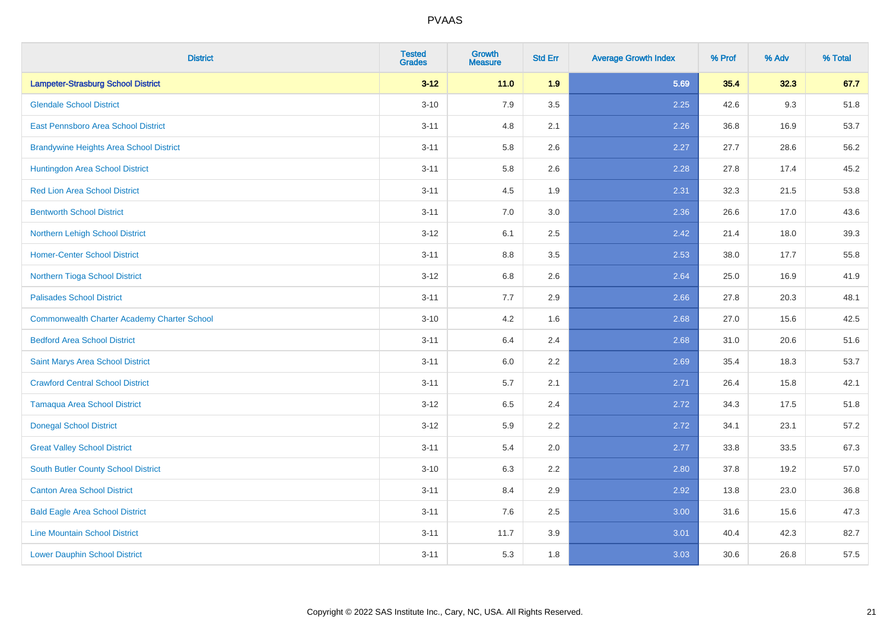| <b>District</b>                                    | <b>Tested</b><br><b>Grades</b> | <b>Growth</b><br><b>Measure</b> | <b>Std Err</b> | <b>Average Growth Index</b> | % Prof | % Adv | % Total |
|----------------------------------------------------|--------------------------------|---------------------------------|----------------|-----------------------------|--------|-------|---------|
| <b>Lampeter-Strasburg School District</b>          | $3 - 12$                       | 11.0                            | 1.9            | 5.69                        | 35.4   | 32.3  | 67.7    |
| <b>Glendale School District</b>                    | $3 - 10$                       | 7.9                             | 3.5            | 2.25                        | 42.6   | 9.3   | 51.8    |
| East Pennsboro Area School District                | $3 - 11$                       | 4.8                             | 2.1            | 2.26                        | 36.8   | 16.9  | 53.7    |
| <b>Brandywine Heights Area School District</b>     | $3 - 11$                       | 5.8                             | 2.6            | 2.27                        | 27.7   | 28.6  | 56.2    |
| Huntingdon Area School District                    | $3 - 11$                       | 5.8                             | 2.6            | 2.28                        | 27.8   | 17.4  | 45.2    |
| <b>Red Lion Area School District</b>               | $3 - 11$                       | 4.5                             | 1.9            | 2.31                        | 32.3   | 21.5  | 53.8    |
| <b>Bentworth School District</b>                   | $3 - 11$                       | 7.0                             | 3.0            | 2.36                        | 26.6   | 17.0  | 43.6    |
| Northern Lehigh School District                    | $3 - 12$                       | 6.1                             | 2.5            | 2.42                        | 21.4   | 18.0  | 39.3    |
| <b>Homer-Center School District</b>                | $3 - 11$                       | 8.8                             | 3.5            | 2.53                        | 38.0   | 17.7  | 55.8    |
| Northern Tioga School District                     | $3-12$                         | 6.8                             | 2.6            | 2.64                        | 25.0   | 16.9  | 41.9    |
| <b>Palisades School District</b>                   | $3 - 11$                       | 7.7                             | 2.9            | 2.66                        | 27.8   | 20.3  | 48.1    |
| <b>Commonwealth Charter Academy Charter School</b> | $3 - 10$                       | 4.2                             | 1.6            | 2.68                        | 27.0   | 15.6  | 42.5    |
| <b>Bedford Area School District</b>                | $3 - 11$                       | 6.4                             | 2.4            | 2.68                        | 31.0   | 20.6  | 51.6    |
| Saint Marys Area School District                   | $3 - 11$                       | 6.0                             | 2.2            | 2.69                        | 35.4   | 18.3  | 53.7    |
| <b>Crawford Central School District</b>            | $3 - 11$                       | 5.7                             | 2.1            | 2.71                        | 26.4   | 15.8  | 42.1    |
| <b>Tamaqua Area School District</b>                | $3 - 12$                       | 6.5                             | 2.4            | 2.72                        | 34.3   | 17.5  | 51.8    |
| <b>Donegal School District</b>                     | $3 - 12$                       | 5.9                             | 2.2            | 2.72                        | 34.1   | 23.1  | 57.2    |
| <b>Great Valley School District</b>                | $3 - 11$                       | 5.4                             | 2.0            | 2.77                        | 33.8   | 33.5  | 67.3    |
| <b>South Butler County School District</b>         | $3 - 10$                       | 6.3                             | 2.2            | 2.80                        | 37.8   | 19.2  | 57.0    |
| <b>Canton Area School District</b>                 | $3 - 11$                       | 8.4                             | 2.9            | 2.92                        | 13.8   | 23.0  | 36.8    |
| <b>Bald Eagle Area School District</b>             | $3 - 11$                       | 7.6                             | 2.5            | 3.00                        | 31.6   | 15.6  | 47.3    |
| <b>Line Mountain School District</b>               | $3 - 11$                       | 11.7                            | 3.9            | 3.01                        | 40.4   | 42.3  | 82.7    |
| <b>Lower Dauphin School District</b>               | $3 - 11$                       | 5.3                             | 1.8            | 3.03                        | 30.6   | 26.8  | 57.5    |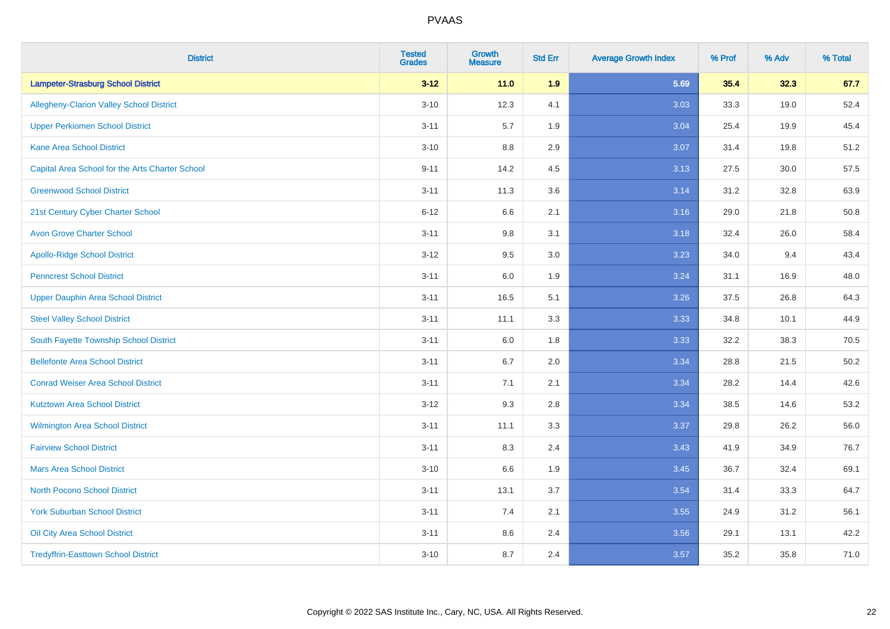| <b>District</b>                                 | <b>Tested</b><br><b>Grades</b> | Growth<br><b>Measure</b> | <b>Std Err</b> | <b>Average Growth Index</b> | % Prof | % Adv | % Total |
|-------------------------------------------------|--------------------------------|--------------------------|----------------|-----------------------------|--------|-------|---------|
| <b>Lampeter-Strasburg School District</b>       | $3 - 12$                       | $11.0$                   | 1.9            | 5.69                        | 35.4   | 32.3  | 67.7    |
| Allegheny-Clarion Valley School District        | $3 - 10$                       | 12.3                     | 4.1            | 3.03                        | 33.3   | 19.0  | 52.4    |
| <b>Upper Perkiomen School District</b>          | $3 - 11$                       | 5.7                      | 1.9            | 3.04                        | 25.4   | 19.9  | 45.4    |
| <b>Kane Area School District</b>                | $3 - 10$                       | 8.8                      | 2.9            | 3.07                        | 31.4   | 19.8  | 51.2    |
| Capital Area School for the Arts Charter School | $9 - 11$                       | 14.2                     | 4.5            | 3.13                        | 27.5   | 30.0  | 57.5    |
| <b>Greenwood School District</b>                | $3 - 11$                       | 11.3                     | 3.6            | 3.14                        | 31.2   | 32.8  | 63.9    |
| 21st Century Cyber Charter School               | $6 - 12$                       | 6.6                      | 2.1            | 3.16                        | 29.0   | 21.8  | 50.8    |
| <b>Avon Grove Charter School</b>                | $3 - 11$                       | $9.8\,$                  | 3.1            | 3.18                        | 32.4   | 26.0  | 58.4    |
| <b>Apollo-Ridge School District</b>             | $3 - 12$                       | 9.5                      | 3.0            | 3.23                        | 34.0   | 9.4   | 43.4    |
| <b>Penncrest School District</b>                | $3 - 11$                       | 6.0                      | 1.9            | 3.24                        | 31.1   | 16.9  | 48.0    |
| <b>Upper Dauphin Area School District</b>       | $3 - 11$                       | 16.5                     | 5.1            | 3.26                        | 37.5   | 26.8  | 64.3    |
| <b>Steel Valley School District</b>             | $3 - 11$                       | 11.1                     | 3.3            | 3.33                        | 34.8   | 10.1  | 44.9    |
| South Fayette Township School District          | $3 - 11$                       | 6.0                      | 1.8            | 3.33                        | 32.2   | 38.3  | 70.5    |
| <b>Bellefonte Area School District</b>          | $3 - 11$                       | 6.7                      | 2.0            | 3.34                        | 28.8   | 21.5  | 50.2    |
| <b>Conrad Weiser Area School District</b>       | $3 - 11$                       | 7.1                      | 2.1            | 3.34                        | 28.2   | 14.4  | 42.6    |
| <b>Kutztown Area School District</b>            | $3 - 12$                       | 9.3                      | 2.8            | 3.34                        | 38.5   | 14.6  | 53.2    |
| Wilmington Area School District                 | $3 - 11$                       | 11.1                     | 3.3            | 3.37                        | 29.8   | 26.2  | 56.0    |
| <b>Fairview School District</b>                 | $3 - 11$                       | 8.3                      | 2.4            | 3.43                        | 41.9   | 34.9  | 76.7    |
| <b>Mars Area School District</b>                | $3 - 10$                       | 6.6                      | 1.9            | 3.45                        | 36.7   | 32.4  | 69.1    |
| <b>North Pocono School District</b>             | $3 - 11$                       | 13.1                     | 3.7            | 3.54                        | 31.4   | 33.3  | 64.7    |
| <b>York Suburban School District</b>            | $3 - 11$                       | 7.4                      | 2.1            | 3.55                        | 24.9   | 31.2  | 56.1    |
| Oil City Area School District                   | $3 - 11$                       | 8.6                      | 2.4            | 3.56                        | 29.1   | 13.1  | 42.2    |
| <b>Tredyffrin-Easttown School District</b>      | $3 - 10$                       | 8.7                      | 2.4            | 3.57                        | 35.2   | 35.8  | 71.0    |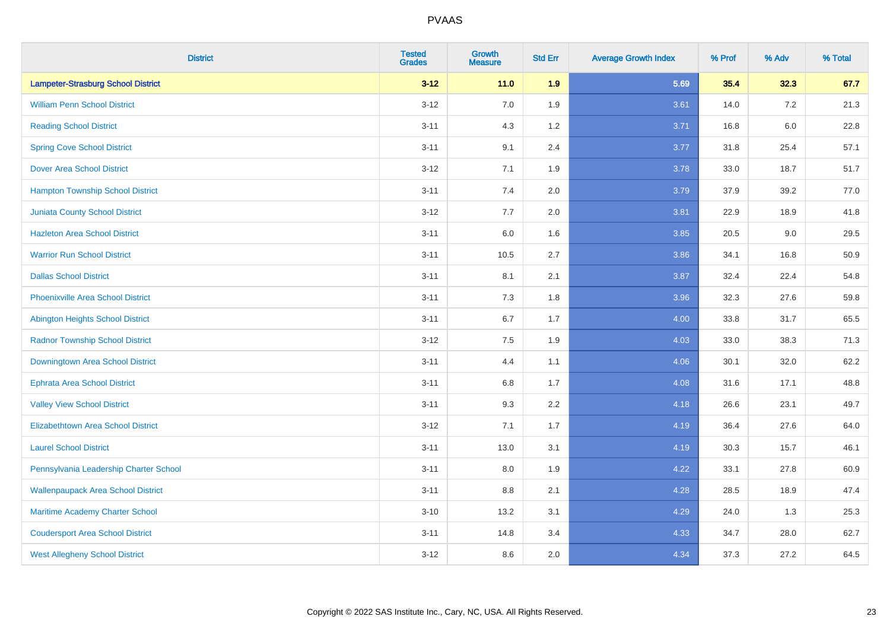| <b>District</b>                           | <b>Tested</b><br><b>Grades</b> | <b>Growth</b><br><b>Measure</b> | <b>Std Err</b> | <b>Average Growth Index</b> | % Prof | % Adv   | % Total |
|-------------------------------------------|--------------------------------|---------------------------------|----------------|-----------------------------|--------|---------|---------|
| <b>Lampeter-Strasburg School District</b> | $3 - 12$                       | 11.0                            | 1.9            | 5.69                        | 35.4   | 32.3    | 67.7    |
| <b>William Penn School District</b>       | $3 - 12$                       | 7.0                             | 1.9            | 3.61                        | 14.0   | $7.2\,$ | 21.3    |
| <b>Reading School District</b>            | $3 - 11$                       | 4.3                             | 1.2            | 3.71                        | 16.8   | $6.0\,$ | 22.8    |
| <b>Spring Cove School District</b>        | $3 - 11$                       | 9.1                             | 2.4            | 3.77                        | 31.8   | 25.4    | 57.1    |
| <b>Dover Area School District</b>         | $3 - 12$                       | 7.1                             | 1.9            | 3.78                        | 33.0   | 18.7    | 51.7    |
| <b>Hampton Township School District</b>   | $3 - 11$                       | 7.4                             | 2.0            | 3.79                        | 37.9   | 39.2    | 77.0    |
| <b>Juniata County School District</b>     | $3 - 12$                       | 7.7                             | 2.0            | 3.81                        | 22.9   | 18.9    | 41.8    |
| <b>Hazleton Area School District</b>      | $3 - 11$                       | 6.0                             | 1.6            | 3.85                        | 20.5   | 9.0     | 29.5    |
| <b>Warrior Run School District</b>        | $3 - 11$                       | 10.5                            | 2.7            | 3.86                        | 34.1   | 16.8    | 50.9    |
| <b>Dallas School District</b>             | $3 - 11$                       | 8.1                             | 2.1            | 3.87                        | 32.4   | 22.4    | 54.8    |
| <b>Phoenixville Area School District</b>  | $3 - 11$                       | 7.3                             | 1.8            | 3.96                        | 32.3   | 27.6    | 59.8    |
| <b>Abington Heights School District</b>   | $3 - 11$                       | 6.7                             | 1.7            | 4.00                        | 33.8   | 31.7    | 65.5    |
| <b>Radnor Township School District</b>    | $3 - 12$                       | 7.5                             | 1.9            | 4.03                        | 33.0   | 38.3    | 71.3    |
| Downingtown Area School District          | $3 - 11$                       | 4.4                             | 1.1            | 4.06                        | 30.1   | 32.0    | 62.2    |
| <b>Ephrata Area School District</b>       | $3 - 11$                       | 6.8                             | 1.7            | 4.08                        | 31.6   | 17.1    | 48.8    |
| <b>Valley View School District</b>        | $3 - 11$                       | 9.3                             | 2.2            | 4.18                        | 26.6   | 23.1    | 49.7    |
| <b>Elizabethtown Area School District</b> | $3 - 12$                       | 7.1                             | 1.7            | 4.19                        | 36.4   | 27.6    | 64.0    |
| <b>Laurel School District</b>             | $3 - 11$                       | 13.0                            | 3.1            | 4.19                        | 30.3   | 15.7    | 46.1    |
| Pennsylvania Leadership Charter School    | $3 - 11$                       | 8.0                             | 1.9            | 4.22                        | 33.1   | 27.8    | 60.9    |
| <b>Wallenpaupack Area School District</b> | $3 - 11$                       | 8.8                             | 2.1            | 4.28                        | 28.5   | 18.9    | 47.4    |
| Maritime Academy Charter School           | $3 - 10$                       | 13.2                            | 3.1            | 4.29                        | 24.0   | 1.3     | 25.3    |
| <b>Coudersport Area School District</b>   | $3 - 11$                       | 14.8                            | 3.4            | 4.33                        | 34.7   | 28.0    | 62.7    |
| <b>West Allegheny School District</b>     | $3 - 12$                       | 8.6                             | 2.0            | 4.34                        | 37.3   | 27.2    | 64.5    |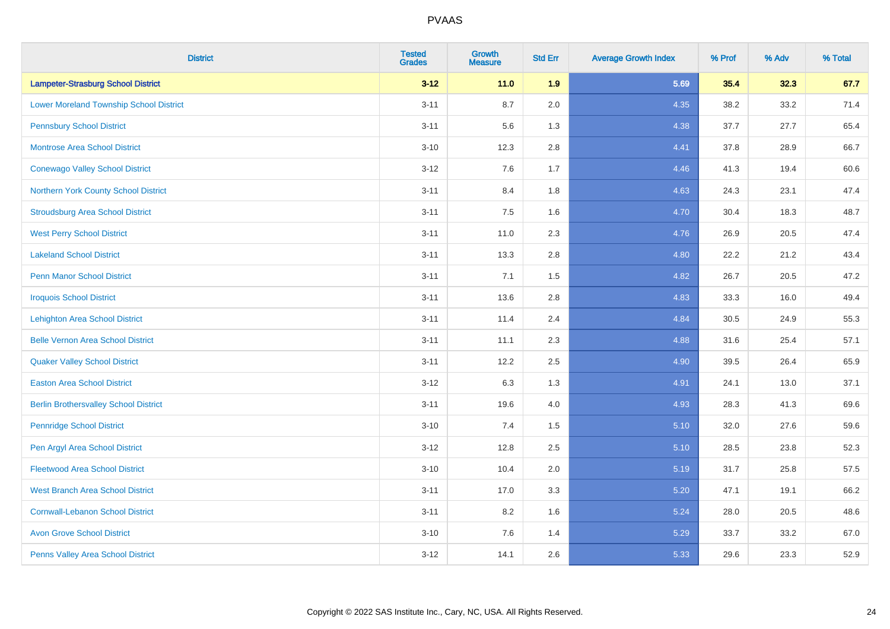| <b>District</b>                                | <b>Tested</b><br><b>Grades</b> | <b>Growth</b><br><b>Measure</b> | <b>Std Err</b> | <b>Average Growth Index</b> | % Prof | % Adv | % Total |
|------------------------------------------------|--------------------------------|---------------------------------|----------------|-----------------------------|--------|-------|---------|
| <b>Lampeter-Strasburg School District</b>      | $3 - 12$                       | $11.0$                          | 1.9            | 5.69                        | 35.4   | 32.3  | 67.7    |
| <b>Lower Moreland Township School District</b> | $3 - 11$                       | 8.7                             | 2.0            | 4.35                        | 38.2   | 33.2  | 71.4    |
| <b>Pennsbury School District</b>               | $3 - 11$                       | 5.6                             | 1.3            | 4.38                        | 37.7   | 27.7  | 65.4    |
| <b>Montrose Area School District</b>           | $3 - 10$                       | 12.3                            | 2.8            | 4.41                        | 37.8   | 28.9  | 66.7    |
| <b>Conewago Valley School District</b>         | $3 - 12$                       | 7.6                             | 1.7            | 4.46                        | 41.3   | 19.4  | 60.6    |
| Northern York County School District           | $3 - 11$                       | 8.4                             | 1.8            | 4.63                        | 24.3   | 23.1  | 47.4    |
| <b>Stroudsburg Area School District</b>        | $3 - 11$                       | 7.5                             | 1.6            | 4.70                        | 30.4   | 18.3  | 48.7    |
| <b>West Perry School District</b>              | $3 - 11$                       | 11.0                            | 2.3            | 4.76                        | 26.9   | 20.5  | 47.4    |
| <b>Lakeland School District</b>                | $3 - 11$                       | 13.3                            | 2.8            | 4.80                        | 22.2   | 21.2  | 43.4    |
| <b>Penn Manor School District</b>              | $3 - 11$                       | 7.1                             | 1.5            | 4.82                        | 26.7   | 20.5  | 47.2    |
| <b>Iroquois School District</b>                | $3 - 11$                       | 13.6                            | 2.8            | 4.83                        | 33.3   | 16.0  | 49.4    |
| <b>Lehighton Area School District</b>          | $3 - 11$                       | 11.4                            | 2.4            | 4.84                        | 30.5   | 24.9  | 55.3    |
| <b>Belle Vernon Area School District</b>       | $3 - 11$                       | 11.1                            | 2.3            | 4.88                        | 31.6   | 25.4  | 57.1    |
| <b>Quaker Valley School District</b>           | $3 - 11$                       | 12.2                            | 2.5            | 4.90                        | 39.5   | 26.4  | 65.9    |
| <b>Easton Area School District</b>             | $3 - 12$                       | 6.3                             | 1.3            | 4.91                        | 24.1   | 13.0  | 37.1    |
| <b>Berlin Brothersvalley School District</b>   | $3 - 11$                       | 19.6                            | 4.0            | 4.93                        | 28.3   | 41.3  | 69.6    |
| <b>Pennridge School District</b>               | $3 - 10$                       | 7.4                             | 1.5            | 5.10                        | 32.0   | 27.6  | 59.6    |
| Pen Argyl Area School District                 | $3 - 12$                       | 12.8                            | 2.5            | 5.10                        | 28.5   | 23.8  | 52.3    |
| <b>Fleetwood Area School District</b>          | $3 - 10$                       | 10.4                            | 2.0            | 5.19                        | 31.7   | 25.8  | 57.5    |
| <b>West Branch Area School District</b>        | $3 - 11$                       | 17.0                            | 3.3            | 5.20                        | 47.1   | 19.1  | 66.2    |
| <b>Cornwall-Lebanon School District</b>        | $3 - 11$                       | 8.2                             | 1.6            | 5.24                        | 28.0   | 20.5  | 48.6    |
| <b>Avon Grove School District</b>              | $3 - 10$                       | 7.6                             | 1.4            | 5.29                        | 33.7   | 33.2  | 67.0    |
| Penns Valley Area School District              | $3 - 12$                       | 14.1                            | 2.6            | 5.33                        | 29.6   | 23.3  | 52.9    |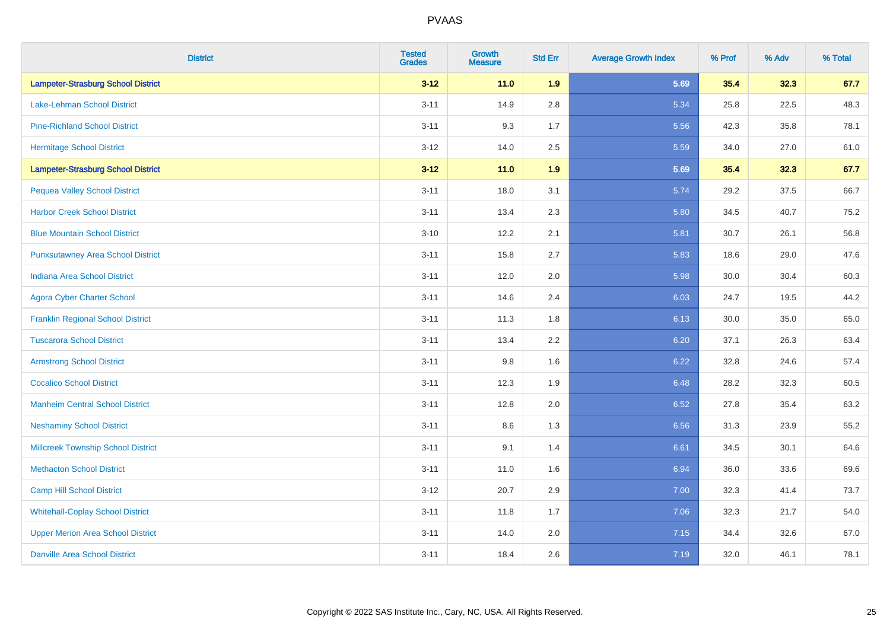| <b>District</b>                           | <b>Tested</b><br><b>Grades</b> | <b>Growth</b><br><b>Measure</b> | <b>Std Err</b> | <b>Average Growth Index</b> | % Prof | % Adv | % Total |
|-------------------------------------------|--------------------------------|---------------------------------|----------------|-----------------------------|--------|-------|---------|
| <b>Lampeter-Strasburg School District</b> | $3 - 12$                       | 11.0                            | 1.9            | 5.69                        | 35.4   | 32.3  | 67.7    |
| <b>Lake-Lehman School District</b>        | $3 - 11$                       | 14.9                            | 2.8            | 5.34                        | 25.8   | 22.5  | 48.3    |
| <b>Pine-Richland School District</b>      | $3 - 11$                       | 9.3                             | 1.7            | 5.56                        | 42.3   | 35.8  | 78.1    |
| <b>Hermitage School District</b>          | $3 - 12$                       | 14.0                            | 2.5            | 5.59                        | 34.0   | 27.0  | 61.0    |
| <b>Lampeter-Strasburg School District</b> | $3 - 12$                       | 11.0                            | 1.9            | 5.69                        | 35.4   | 32.3  | 67.7    |
| <b>Pequea Valley School District</b>      | $3 - 11$                       | 18.0                            | 3.1            | 5.74                        | 29.2   | 37.5  | 66.7    |
| <b>Harbor Creek School District</b>       | $3 - 11$                       | 13.4                            | 2.3            | 5.80                        | 34.5   | 40.7  | 75.2    |
| <b>Blue Mountain School District</b>      | $3 - 10$                       | 12.2                            | 2.1            | 5.81                        | 30.7   | 26.1  | 56.8    |
| <b>Punxsutawney Area School District</b>  | $3 - 11$                       | 15.8                            | 2.7            | 5.83                        | 18.6   | 29.0  | 47.6    |
| <b>Indiana Area School District</b>       | $3 - 11$                       | 12.0                            | 2.0            | 5.98                        | 30.0   | 30.4  | 60.3    |
| <b>Agora Cyber Charter School</b>         | $3 - 11$                       | 14.6                            | 2.4            | 6.03                        | 24.7   | 19.5  | 44.2    |
| <b>Franklin Regional School District</b>  | $3 - 11$                       | 11.3                            | 1.8            | 6.13                        | 30.0   | 35.0  | 65.0    |
| <b>Tuscarora School District</b>          | $3 - 11$                       | 13.4                            | 2.2            | 6.20                        | 37.1   | 26.3  | 63.4    |
| <b>Armstrong School District</b>          | $3 - 11$                       | 9.8                             | 1.6            | 6.22                        | 32.8   | 24.6  | 57.4    |
| <b>Cocalico School District</b>           | $3 - 11$                       | 12.3                            | 1.9            | 6.48                        | 28.2   | 32.3  | 60.5    |
| <b>Manheim Central School District</b>    | $3 - 11$                       | 12.8                            | 2.0            | 6.52                        | 27.8   | 35.4  | 63.2    |
| <b>Neshaminy School District</b>          | $3 - 11$                       | 8.6                             | 1.3            | 6.56                        | 31.3   | 23.9  | 55.2    |
| <b>Millcreek Township School District</b> | $3 - 11$                       | 9.1                             | 1.4            | 6.61                        | 34.5   | 30.1  | 64.6    |
| <b>Methacton School District</b>          | $3 - 11$                       | 11.0                            | 1.6            | 6.94                        | 36.0   | 33.6  | 69.6    |
| <b>Camp Hill School District</b>          | $3 - 12$                       | 20.7                            | 2.9            | 7.00                        | 32.3   | 41.4  | 73.7    |
| <b>Whitehall-Coplay School District</b>   | $3 - 11$                       | 11.8                            | 1.7            | 7.06                        | 32.3   | 21.7  | 54.0    |
| <b>Upper Merion Area School District</b>  | $3 - 11$                       | 14.0                            | 2.0            | 7.15                        | 34.4   | 32.6  | 67.0    |
| <b>Danville Area School District</b>      | $3 - 11$                       | 18.4                            | 2.6            | 7.19                        | 32.0   | 46.1  | 78.1    |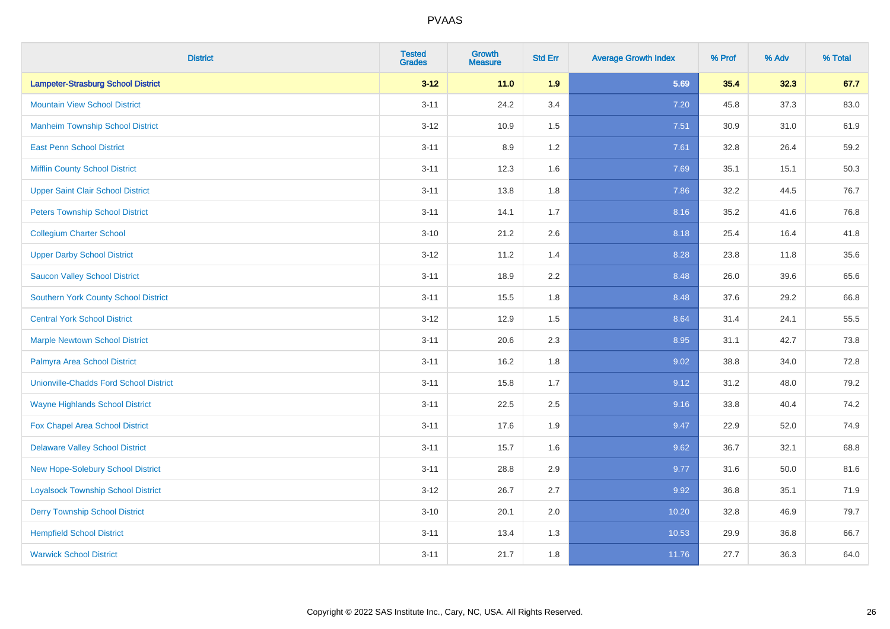| <b>District</b>                               | <b>Tested</b><br><b>Grades</b> | <b>Growth</b><br><b>Measure</b> | <b>Std Err</b> | <b>Average Growth Index</b> | % Prof | % Adv | % Total |
|-----------------------------------------------|--------------------------------|---------------------------------|----------------|-----------------------------|--------|-------|---------|
| <b>Lampeter-Strasburg School District</b>     | $3 - 12$                       | 11.0                            | 1.9            | 5.69                        | 35.4   | 32.3  | 67.7    |
| <b>Mountain View School District</b>          | $3 - 11$                       | 24.2                            | 3.4            | 7.20                        | 45.8   | 37.3  | 83.0    |
| <b>Manheim Township School District</b>       | $3 - 12$                       | 10.9                            | 1.5            | 7.51                        | 30.9   | 31.0  | 61.9    |
| <b>East Penn School District</b>              | $3 - 11$                       | 8.9                             | 1.2            | 7.61                        | 32.8   | 26.4  | 59.2    |
| <b>Mifflin County School District</b>         | $3 - 11$                       | 12.3                            | 1.6            | 7.69                        | 35.1   | 15.1  | 50.3    |
| <b>Upper Saint Clair School District</b>      | $3 - 11$                       | 13.8                            | 1.8            | 7.86                        | 32.2   | 44.5  | 76.7    |
| <b>Peters Township School District</b>        | $3 - 11$                       | 14.1                            | 1.7            | 8.16                        | 35.2   | 41.6  | 76.8    |
| <b>Collegium Charter School</b>               | $3 - 10$                       | 21.2                            | 2.6            | 8.18                        | 25.4   | 16.4  | 41.8    |
| <b>Upper Darby School District</b>            | $3 - 12$                       | 11.2                            | 1.4            | 8.28                        | 23.8   | 11.8  | 35.6    |
| <b>Saucon Valley School District</b>          | $3 - 11$                       | 18.9                            | 2.2            | 8.48                        | 26.0   | 39.6  | 65.6    |
| <b>Southern York County School District</b>   | $3 - 11$                       | 15.5                            | 1.8            | 8.48                        | 37.6   | 29.2  | 66.8    |
| <b>Central York School District</b>           | $3 - 12$                       | 12.9                            | 1.5            | 8.64                        | 31.4   | 24.1  | 55.5    |
| <b>Marple Newtown School District</b>         | $3 - 11$                       | 20.6                            | 2.3            | 8.95                        | 31.1   | 42.7  | 73.8    |
| Palmyra Area School District                  | $3 - 11$                       | 16.2                            | 1.8            | 9.02                        | 38.8   | 34.0  | 72.8    |
| <b>Unionville-Chadds Ford School District</b> | $3 - 11$                       | 15.8                            | 1.7            | 9.12                        | 31.2   | 48.0  | 79.2    |
| <b>Wayne Highlands School District</b>        | $3 - 11$                       | 22.5                            | 2.5            | 9.16                        | 33.8   | 40.4  | 74.2    |
| Fox Chapel Area School District               | $3 - 11$                       | 17.6                            | 1.9            | 9.47                        | 22.9   | 52.0  | 74.9    |
| <b>Delaware Valley School District</b>        | $3 - 11$                       | 15.7                            | 1.6            | 9.62                        | 36.7   | 32.1  | 68.8    |
| <b>New Hope-Solebury School District</b>      | $3 - 11$                       | 28.8                            | 2.9            | 9.77                        | 31.6   | 50.0  | 81.6    |
| <b>Loyalsock Township School District</b>     | $3 - 12$                       | 26.7                            | 2.7            | 9.92                        | 36.8   | 35.1  | 71.9    |
| <b>Derry Township School District</b>         | $3 - 10$                       | 20.1                            | 2.0            | 10.20                       | 32.8   | 46.9  | 79.7    |
| <b>Hempfield School District</b>              | $3 - 11$                       | 13.4                            | 1.3            | 10.53                       | 29.9   | 36.8  | 66.7    |
| <b>Warwick School District</b>                | $3 - 11$                       | 21.7                            | 1.8            | 11.76                       | 27.7   | 36.3  | 64.0    |